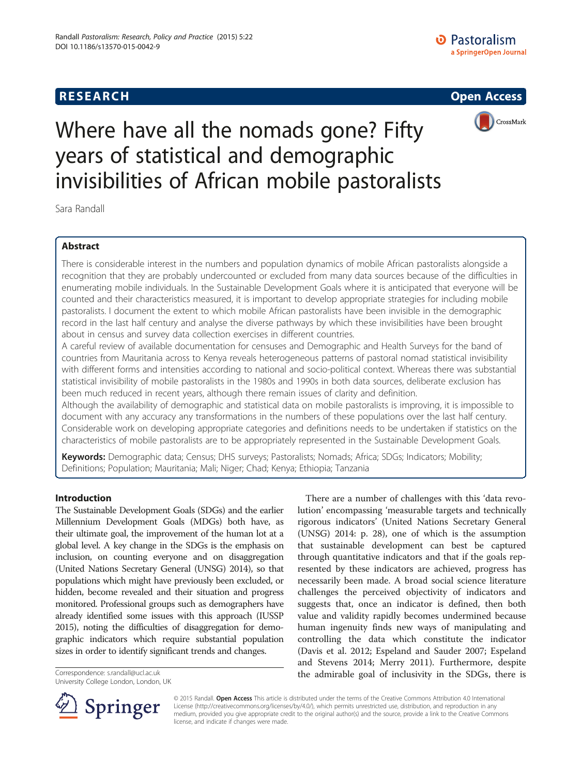



# Where have all the nomads gone? Fifty years of statistical and demographic invisibilities of African mobile pastoralists

Sara Randall

# Abstract

There is considerable interest in the numbers and population dynamics of mobile African pastoralists alongside a recognition that they are probably undercounted or excluded from many data sources because of the difficulties in enumerating mobile individuals. In the Sustainable Development Goals where it is anticipated that everyone will be counted and their characteristics measured, it is important to develop appropriate strategies for including mobile pastoralists. I document the extent to which mobile African pastoralists have been invisible in the demographic record in the last half century and analyse the diverse pathways by which these invisibilities have been brought about in census and survey data collection exercises in different countries.

A careful review of available documentation for censuses and Demographic and Health Surveys for the band of countries from Mauritania across to Kenya reveals heterogeneous patterns of pastoral nomad statistical invisibility with different forms and intensities according to national and socio-political context. Whereas there was substantial statistical invisibility of mobile pastoralists in the 1980s and 1990s in both data sources, deliberate exclusion has been much reduced in recent years, although there remain issues of clarity and definition.

Although the availability of demographic and statistical data on mobile pastoralists is improving, it is impossible to document with any accuracy any transformations in the numbers of these populations over the last half century. Considerable work on developing appropriate categories and definitions needs to be undertaken if statistics on the characteristics of mobile pastoralists are to be appropriately represented in the Sustainable Development Goals.

Keywords: Demographic data; Census; DHS surveys; Pastoralists; Nomads; Africa; SDGs; Indicators; Mobility; Definitions; Population; Mauritania; Mali; Niger; Chad; Kenya; Ethiopia; Tanzania

# Introduction

The Sustainable Development Goals (SDGs) and the earlier Millennium Development Goals (MDGs) both have, as their ultimate goal, the improvement of the human lot at a global level. A key change in the SDGs is the emphasis on inclusion, on counting everyone and on disaggregation (United Nations Secretary General (UNSG) [2014\)](#page-20-0), so that populations which might have previously been excluded, or hidden, become revealed and their situation and progress monitored. Professional groups such as demographers have already identified some issues with this approach (IUSSP [2015\)](#page-20-0), noting the difficulties of disaggregation for demographic indicators which require substantial population sizes in order to identify significant trends and changes.

University College London, London, UK

There are a number of challenges with this 'data revolution' encompassing 'measurable targets and technically rigorous indicators' (United Nations Secretary General (UNSG) [2014](#page-20-0): p. 28), one of which is the assumption that sustainable development can best be captured through quantitative indicators and that if the goals represented by these indicators are achieved, progress has necessarily been made. A broad social science literature challenges the perceived objectivity of indicators and suggests that, once an indicator is defined, then both value and validity rapidly becomes undermined because human ingenuity finds new ways of manipulating and controlling the data which constitute the indicator (Davis et al. [2012;](#page-19-0) Espeland and Sauder [2007;](#page-19-0) Espeland and Stevens [2014](#page-19-0); Merry [2011](#page-20-0)). Furthermore, despite Correspondence: [s.randall@ucl.ac.uk](mailto:s.randall@ucl.ac.uk) entertainment of the admirable goal of inclusivity in the SDGs, there is



© 2015 Randall. Open Access This article is distributed under the terms of the Creative Commons Attribution 4.0 International License [\(http://creativecommons.org/licenses/by/4.0/](http://creativecommons.org/licenses/by/4.0/)), which permits unrestricted use, distribution, and reproduction in any medium, provided you give appropriate credit to the original author(s) and the source, provide a link to the Creative Commons license, and indicate if changes were made.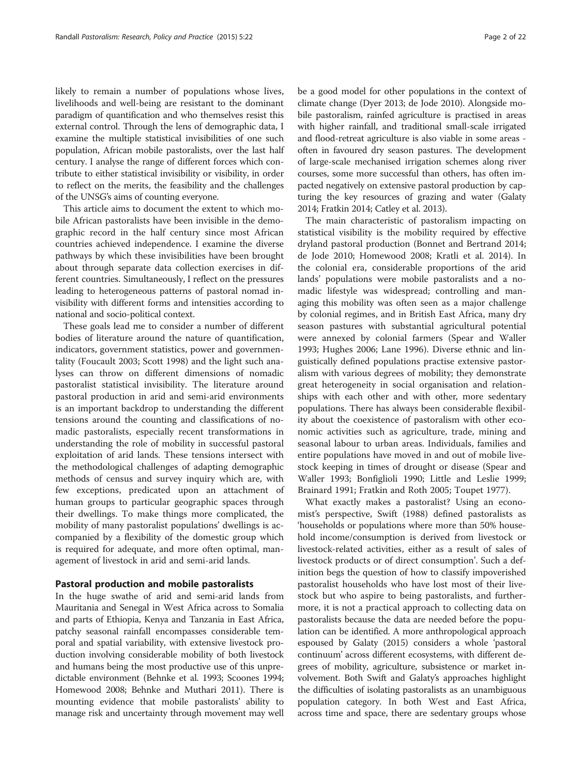likely to remain a number of populations whose lives, livelihoods and well-being are resistant to the dominant paradigm of quantification and who themselves resist this external control. Through the lens of demographic data, I examine the multiple statistical invisibilities of one such population, African mobile pastoralists, over the last half century. I analyse the range of different forces which contribute to either statistical invisibility or visibility, in order to reflect on the merits, the feasibility and the challenges of the UNSG's aims of counting everyone.

This article aims to document the extent to which mobile African pastoralists have been invisible in the demographic record in the half century since most African countries achieved independence. I examine the diverse pathways by which these invisibilities have been brought about through separate data collection exercises in different countries. Simultaneously, I reflect on the pressures leading to heterogeneous patterns of pastoral nomad invisibility with different forms and intensities according to national and socio-political context.

These goals lead me to consider a number of different bodies of literature around the nature of quantification, indicators, government statistics, power and governmentality (Foucault [2003](#page-19-0); Scott [1998\)](#page-20-0) and the light such analyses can throw on different dimensions of nomadic pastoralist statistical invisibility. The literature around pastoral production in arid and semi-arid environments is an important backdrop to understanding the different tensions around the counting and classifications of nomadic pastoralists, especially recent transformations in understanding the role of mobility in successful pastoral exploitation of arid lands. These tensions intersect with the methodological challenges of adapting demographic methods of census and survey inquiry which are, with few exceptions, predicated upon an attachment of human groups to particular geographic spaces through their dwellings. To make things more complicated, the mobility of many pastoralist populations' dwellings is accompanied by a flexibility of the domestic group which is required for adequate, and more often optimal, management of livestock in arid and semi-arid lands.

# Pastoral production and mobile pastoralists

In the huge swathe of arid and semi-arid lands from Mauritania and Senegal in West Africa across to Somalia and parts of Ethiopia, Kenya and Tanzania in East Africa, patchy seasonal rainfall encompasses considerable temporal and spatial variability, with extensive livestock production involving considerable mobility of both livestock and humans being the most productive use of this unpredictable environment (Behnke et al. [1993;](#page-19-0) Scoones [1994](#page-20-0); Homewood [2008;](#page-19-0) Behnke and Muthari [2011\)](#page-19-0). There is mounting evidence that mobile pastoralists' ability to manage risk and uncertainty through movement may well be a good model for other populations in the context of climate change (Dyer [2013;](#page-19-0) de Jode [2010\)](#page-19-0). Alongside mobile pastoralism, rainfed agriculture is practised in areas with higher rainfall, and traditional small-scale irrigated and flood-retreat agriculture is also viable in some areas often in favoured dry season pastures. The development of large-scale mechanised irrigation schemes along river courses, some more successful than others, has often impacted negatively on extensive pastoral production by capturing the key resources of grazing and water (Galaty [2014;](#page-19-0) Fratkin [2014](#page-19-0); Catley et al. [2013](#page-19-0)).

The main characteristic of pastoralism impacting on statistical visibility is the mobility required by effective dryland pastoral production (Bonnet and Bertrand [2014](#page-19-0); de Jode [2010](#page-19-0); Homewood [2008;](#page-19-0) Kratli et al. [2014\)](#page-20-0). In the colonial era, considerable proportions of the arid lands' populations were mobile pastoralists and a nomadic lifestyle was widespread; controlling and managing this mobility was often seen as a major challenge by colonial regimes, and in British East Africa, many dry season pastures with substantial agricultural potential were annexed by colonial farmers (Spear and Waller [1993](#page-20-0); Hughes [2006;](#page-20-0) Lane [1996\)](#page-20-0). Diverse ethnic and linguistically defined populations practise extensive pastoralism with various degrees of mobility; they demonstrate great heterogeneity in social organisation and relationships with each other and with other, more sedentary populations. There has always been considerable flexibility about the coexistence of pastoralism with other economic activities such as agriculture, trade, mining and seasonal labour to urban areas. Individuals, families and entire populations have moved in and out of mobile livestock keeping in times of drought or disease (Spear and Waller [1993;](#page-20-0) Bonfiglioli [1990](#page-19-0); Little and Leslie [1999](#page-20-0); Brainard [1991](#page-19-0); Fratkin and Roth [2005;](#page-19-0) Toupet [1977](#page-20-0)).

What exactly makes a pastoralist? Using an economist's perspective, Swift [\(1988](#page-20-0)) defined pastoralists as 'households or populations where more than 50% household income/consumption is derived from livestock or livestock-related activities, either as a result of sales of livestock products or of direct consumption'. Such a definition begs the question of how to classify impoverished pastoralist households who have lost most of their livestock but who aspire to being pastoralists, and furthermore, it is not a practical approach to collecting data on pastoralists because the data are needed before the population can be identified. A more anthropological approach espoused by Galaty [\(2015\)](#page-19-0) considers a whole 'pastoral continuum' across different ecosystems, with different degrees of mobility, agriculture, subsistence or market involvement. Both Swift and Galaty's approaches highlight the difficulties of isolating pastoralists as an unambiguous population category. In both West and East Africa, across time and space, there are sedentary groups whose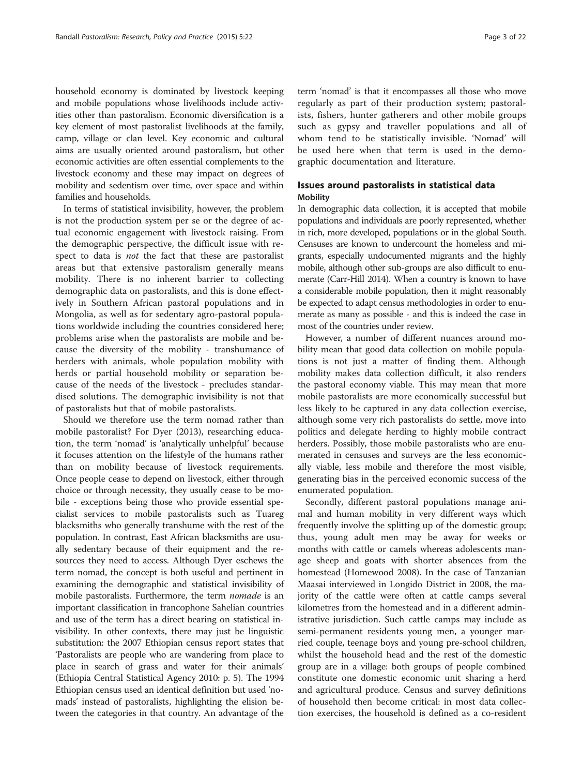household economy is dominated by livestock keeping and mobile populations whose livelihoods include activities other than pastoralism. Economic diversification is a key element of most pastoralist livelihoods at the family, camp, village or clan level. Key economic and cultural aims are usually oriented around pastoralism, but other economic activities are often essential complements to the livestock economy and these may impact on degrees of mobility and sedentism over time, over space and within families and households.

In terms of statistical invisibility, however, the problem is not the production system per se or the degree of actual economic engagement with livestock raising. From the demographic perspective, the difficult issue with respect to data is *not* the fact that these are pastoralist areas but that extensive pastoralism generally means mobility. There is no inherent barrier to collecting demographic data on pastoralists, and this is done effectively in Southern African pastoral populations and in Mongolia, as well as for sedentary agro-pastoral populations worldwide including the countries considered here; problems arise when the pastoralists are mobile and because the diversity of the mobility - transhumance of herders with animals, whole population mobility with herds or partial household mobility or separation because of the needs of the livestock - precludes standardised solutions. The demographic invisibility is not that of pastoralists but that of mobile pastoralists.

Should we therefore use the term nomad rather than mobile pastoralist? For Dyer [\(2013](#page-19-0)), researching education, the term 'nomad' is 'analytically unhelpful' because it focuses attention on the lifestyle of the humans rather than on mobility because of livestock requirements. Once people cease to depend on livestock, either through choice or through necessity, they usually cease to be mobile - exceptions being those who provide essential specialist services to mobile pastoralists such as Tuareg blacksmiths who generally transhume with the rest of the population. In contrast, East African blacksmiths are usually sedentary because of their equipment and the resources they need to access. Although Dyer eschews the term nomad, the concept is both useful and pertinent in examining the demographic and statistical invisibility of mobile pastoralists. Furthermore, the term *nomade* is an important classification in francophone Sahelian countries and use of the term has a direct bearing on statistical invisibility. In other contexts, there may just be linguistic substitution: the 2007 Ethiopian census report states that 'Pastoralists are people who are wandering from place to place in search of grass and water for their animals' (Ethiopia Central Statistical Agency [2010:](#page-20-0) p. 5). The 1994 Ethiopian census used an identical definition but used 'nomads' instead of pastoralists, highlighting the elision between the categories in that country. An advantage of the

term 'nomad' is that it encompasses all those who move regularly as part of their production system; pastoralists, fishers, hunter gatherers and other mobile groups such as gypsy and traveller populations and all of whom tend to be statistically invisible. 'Nomad' will be used here when that term is used in the demographic documentation and literature.

# Issues around pastoralists in statistical data **Mobility**

In demographic data collection, it is accepted that mobile populations and individuals are poorly represented, whether in rich, more developed, populations or in the global South. Censuses are known to undercount the homeless and migrants, especially undocumented migrants and the highly mobile, although other sub-groups are also difficult to enumerate (Carr-Hill [2014\)](#page-19-0). When a country is known to have a considerable mobile population, then it might reasonably be expected to adapt census methodologies in order to enumerate as many as possible - and this is indeed the case in most of the countries under review.

However, a number of different nuances around mobility mean that good data collection on mobile populations is not just a matter of finding them. Although mobility makes data collection difficult, it also renders the pastoral economy viable. This may mean that more mobile pastoralists are more economically successful but less likely to be captured in any data collection exercise, although some very rich pastoralists do settle, move into politics and delegate herding to highly mobile contract herders. Possibly, those mobile pastoralists who are enumerated in censuses and surveys are the less economically viable, less mobile and therefore the most visible, generating bias in the perceived economic success of the enumerated population.

Secondly, different pastoral populations manage animal and human mobility in very different ways which frequently involve the splitting up of the domestic group; thus, young adult men may be away for weeks or months with cattle or camels whereas adolescents manage sheep and goats with shorter absences from the homestead (Homewood [2008](#page-19-0)). In the case of Tanzanian Maasai interviewed in Longido District in 2008, the majority of the cattle were often at cattle camps several kilometres from the homestead and in a different administrative jurisdiction. Such cattle camps may include as semi-permanent residents young men, a younger married couple, teenage boys and young pre-school children, whilst the household head and the rest of the domestic group are in a village: both groups of people combined constitute one domestic economic unit sharing a herd and agricultural produce. Census and survey definitions of household then become critical: in most data collection exercises, the household is defined as a co-resident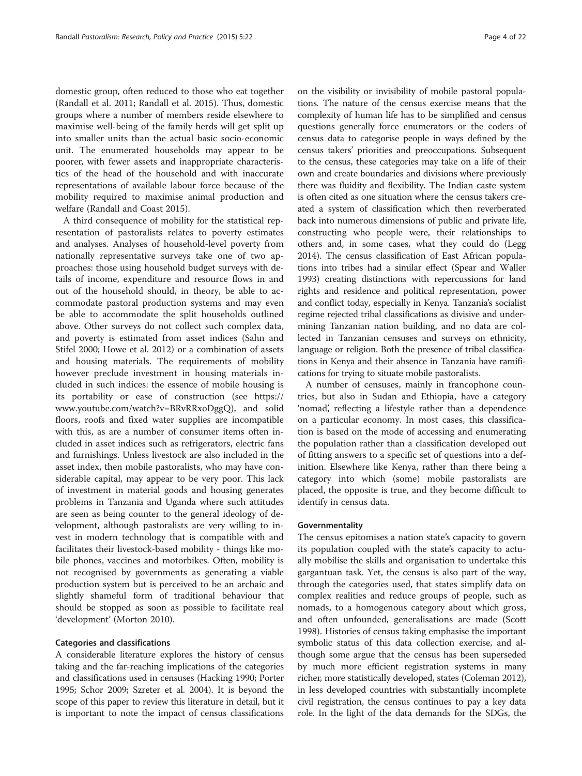domestic group, often reduced to those who eat together (Randall et al. [2011;](#page-20-0) Randall et al. [2015\)](#page-20-0). Thus, domestic groups where a number of members reside elsewhere to maximise well-being of the family herds will get split up into smaller units than the actual basic socio-economic unit. The enumerated households may appear to be poorer, with fewer assets and inappropriate characteristics of the head of the household and with inaccurate representations of available labour force because of the mobility required to maximise animal production and welfare (Randall and Coast [2015](#page-20-0)).

A third consequence of mobility for the statistical representation of pastoralists relates to poverty estimates and analyses. Analyses of household-level poverty from nationally representative surveys take one of two approaches: those using household budget surveys with details of income, expenditure and resource flows in and out of the household should, in theory, be able to accommodate pastoral production systems and may even be able to accommodate the split households outlined above. Other surveys do not collect such complex data, and poverty is estimated from asset indices (Sahn and Stifel [2000](#page-20-0); Howe et al. [2012](#page-19-0)) or a combination of assets and housing materials. The requirements of mobility however preclude investment in housing materials included in such indices: the essence of mobile housing is its portability or ease of construction (see [https://](https://www.youtube.com/watch?v=BRvRRxoDggQ) [www.youtube.com/watch?v=BRvRRxoDggQ](https://www.youtube.com/watch?v=BRvRRxoDggQ)), and solid floors, roofs and fixed water supplies are incompatible with this, as are a number of consumer items often included in asset indices such as refrigerators, electric fans and furnishings. Unless livestock are also included in the asset index, then mobile pastoralists, who may have considerable capital, may appear to be very poor. This lack of investment in material goods and housing generates problems in Tanzania and Uganda where such attitudes are seen as being counter to the general ideology of development, although pastoralists are very willing to invest in modern technology that is compatible with and facilitates their livestock-based mobility - things like mobile phones, vaccines and motorbikes. Often, mobility is not recognised by governments as generating a viable production system but is perceived to be an archaic and slightly shameful form of traditional behaviour that should be stopped as soon as possible to facilitate real 'development' (Morton [2010\)](#page-20-0).

#### Categories and classifications

A considerable literature explores the history of census taking and the far-reaching implications of the categories and classifications used in censuses (Hacking [1990](#page-19-0); Porter [1995;](#page-20-0) Schor [2009](#page-20-0); Szreter et al. [2004](#page-20-0)). It is beyond the scope of this paper to review this literature in detail, but it is important to note the impact of census classifications

on the visibility or invisibility of mobile pastoral populations. The nature of the census exercise means that the complexity of human life has to be simplified and census questions generally force enumerators or the coders of census data to categorise people in ways defined by the census takers' priorities and preoccupations. Subsequent to the census, these categories may take on a life of their own and create boundaries and divisions where previously there was fluidity and flexibility. The Indian caste system is often cited as one situation where the census takers created a system of classification which then reverberated back into numerous dimensions of public and private life, constructing who people were, their relationships to others and, in some cases, what they could do (Legg [2014](#page-20-0)). The census classification of East African populations into tribes had a similar effect (Spear and Waller [1993](#page-20-0)) creating distinctions with repercussions for land rights and residence and political representation, power and conflict today, especially in Kenya. Tanzania's socialist regime rejected tribal classifications as divisive and undermining Tanzanian nation building, and no data are collected in Tanzanian censuses and surveys on ethnicity, language or religion. Both the presence of tribal classifications in Kenya and their absence in Tanzania have ramifications for trying to situate mobile pastoralists.

A number of censuses, mainly in francophone countries, but also in Sudan and Ethiopia, have a category 'nomad', reflecting a lifestyle rather than a dependence on a particular economy. In most cases, this classification is based on the mode of accessing and enumerating the population rather than a classification developed out of fitting answers to a specific set of questions into a definition. Elsewhere like Kenya, rather than there being a category into which (some) mobile pastoralists are placed, the opposite is true, and they become difficult to identify in census data.

# Governmentality

The census epitomises a nation state's capacity to govern its population coupled with the state's capacity to actually mobilise the skills and organisation to undertake this gargantuan task. Yet, the census is also part of the way, through the categories used, that states simplify data on complex realities and reduce groups of people, such as nomads, to a homogenous category about which gross, and often unfounded, generalisations are made (Scott [1998](#page-20-0)). Histories of census taking emphasise the important symbolic status of this data collection exercise, and although some argue that the census has been superseded by much more efficient registration systems in many richer, more statistically developed, states (Coleman [2012](#page-19-0)), in less developed countries with substantially incomplete civil registration, the census continues to pay a key data role. In the light of the data demands for the SDGs, the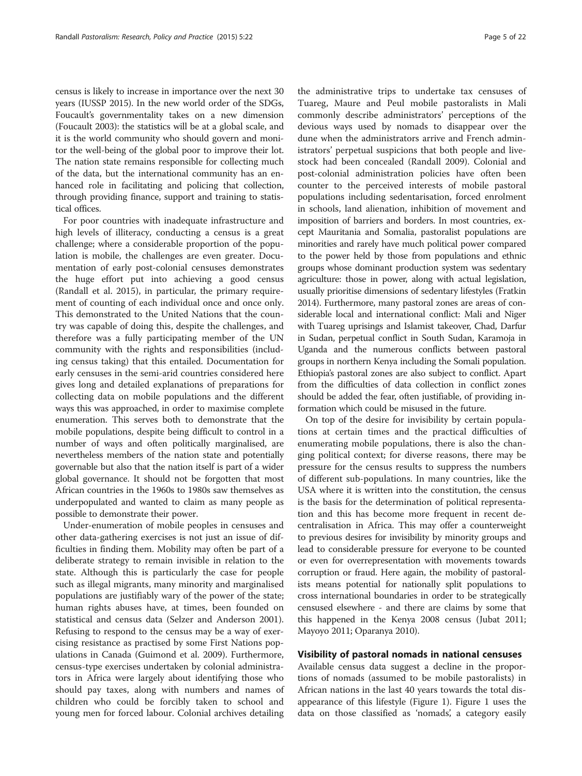census is likely to increase in importance over the next 30 years (IUSSP [2015](#page-20-0)). In the new world order of the SDGs, Foucault's governmentality takes on a new dimension (Foucault [2003\)](#page-19-0): the statistics will be at a global scale, and it is the world community who should govern and monitor the well-being of the global poor to improve their lot. The nation state remains responsible for collecting much of the data, but the international community has an enhanced role in facilitating and policing that collection, through providing finance, support and training to statistical offices.

For poor countries with inadequate infrastructure and high levels of illiteracy, conducting a census is a great challenge; where a considerable proportion of the population is mobile, the challenges are even greater. Documentation of early post-colonial censuses demonstrates the huge effort put into achieving a good census (Randall et al. [2015\)](#page-20-0), in particular, the primary requirement of counting of each individual once and once only. This demonstrated to the United Nations that the country was capable of doing this, despite the challenges, and therefore was a fully participating member of the UN community with the rights and responsibilities (including census taking) that this entailed. Documentation for early censuses in the semi-arid countries considered here gives long and detailed explanations of preparations for collecting data on mobile populations and the different ways this was approached, in order to maximise complete enumeration. This serves both to demonstrate that the mobile populations, despite being difficult to control in a number of ways and often politically marginalised, are nevertheless members of the nation state and potentially governable but also that the nation itself is part of a wider global governance. It should not be forgotten that most African countries in the 1960s to 1980s saw themselves as underpopulated and wanted to claim as many people as possible to demonstrate their power.

Under-enumeration of mobile peoples in censuses and other data-gathering exercises is not just an issue of difficulties in finding them. Mobility may often be part of a deliberate strategy to remain invisible in relation to the state. Although this is particularly the case for people such as illegal migrants, many minority and marginalised populations are justifiably wary of the power of the state; human rights abuses have, at times, been founded on statistical and census data (Selzer and Anderson [2001](#page-20-0)). Refusing to respond to the census may be a way of exercising resistance as practised by some First Nations populations in Canada (Guimond et al. [2009](#page-19-0)). Furthermore, census-type exercises undertaken by colonial administrators in Africa were largely about identifying those who should pay taxes, along with numbers and names of children who could be forcibly taken to school and young men for forced labour. Colonial archives detailing

the administrative trips to undertake tax censuses of Tuareg, Maure and Peul mobile pastoralists in Mali commonly describe administrators' perceptions of the devious ways used by nomads to disappear over the dune when the administrators arrive and French administrators' perpetual suspicions that both people and livestock had been concealed (Randall [2009](#page-20-0)). Colonial and post-colonial administration policies have often been counter to the perceived interests of mobile pastoral populations including sedentarisation, forced enrolment in schools, land alienation, inhibition of movement and imposition of barriers and borders. In most countries, except Mauritania and Somalia, pastoralist populations are minorities and rarely have much political power compared to the power held by those from populations and ethnic groups whose dominant production system was sedentary agriculture: those in power, along with actual legislation, usually prioritise dimensions of sedentary lifestyles (Fratkin [2014\)](#page-19-0). Furthermore, many pastoral zones are areas of considerable local and international conflict: Mali and Niger with Tuareg uprisings and Islamist takeover, Chad, Darfur in Sudan, perpetual conflict in South Sudan, Karamoja in Uganda and the numerous conflicts between pastoral groups in northern Kenya including the Somali population. Ethiopia's pastoral zones are also subject to conflict. Apart from the difficulties of data collection in conflict zones should be added the fear, often justifiable, of providing information which could be misused in the future.

On top of the desire for invisibility by certain populations at certain times and the practical difficulties of enumerating mobile populations, there is also the changing political context; for diverse reasons, there may be pressure for the census results to suppress the numbers of different sub-populations. In many countries, like the USA where it is written into the constitution, the census is the basis for the determination of political representation and this has become more frequent in recent decentralisation in Africa. This may offer a counterweight to previous desires for invisibility by minority groups and lead to considerable pressure for everyone to be counted or even for overrepresentation with movements towards corruption or fraud. Here again, the mobility of pastoralists means potential for nationally split populations to cross international boundaries in order to be strategically censused elsewhere - and there are claims by some that this happened in the Kenya 2008 census (Jubat [2011](#page-20-0); Mayoyo [2011;](#page-20-0) Oparanya [2010](#page-20-0)).

# Visibility of pastoral nomads in national censuses

Available census data suggest a decline in the proportions of nomads (assumed to be mobile pastoralists) in African nations in the last 40 years towards the total disappearance of this lifestyle (Figure [1](#page-5-0)). Figure [1](#page-5-0) uses the data on those classified as 'nomads', a category easily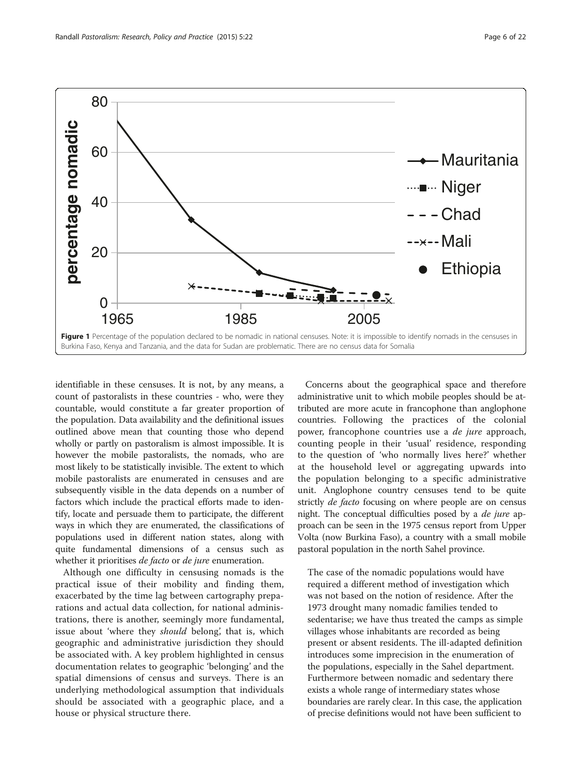<span id="page-5-0"></span>

identifiable in these censuses. It is not, by any means, a count of pastoralists in these countries - who, were they countable, would constitute a far greater proportion of the population. Data availability and the definitional issues outlined above mean that counting those who depend wholly or partly on pastoralism is almost impossible. It is however the mobile pastoralists, the nomads, who are most likely to be statistically invisible. The extent to which mobile pastoralists are enumerated in censuses and are subsequently visible in the data depends on a number of factors which include the practical efforts made to identify, locate and persuade them to participate, the different ways in which they are enumerated, the classifications of populations used in different nation states, along with quite fundamental dimensions of a census such as whether it prioritises *de facto* or *de jure* enumeration.

Although one difficulty in censusing nomads is the practical issue of their mobility and finding them, exacerbated by the time lag between cartography preparations and actual data collection, for national administrations, there is another, seemingly more fundamental, issue about 'where they should belong', that is, which geographic and administrative jurisdiction they should be associated with. A key problem highlighted in census documentation relates to geographic 'belonging' and the spatial dimensions of census and surveys. There is an underlying methodological assumption that individuals should be associated with a geographic place, and a house or physical structure there.

Concerns about the geographical space and therefore administrative unit to which mobile peoples should be attributed are more acute in francophone than anglophone countries. Following the practices of the colonial power, francophone countries use a de jure approach, counting people in their 'usual' residence, responding to the question of 'who normally lives here?' whether at the household level or aggregating upwards into the population belonging to a specific administrative unit. Anglophone country censuses tend to be quite strictly *de facto* focusing on where people are on census night. The conceptual difficulties posed by a *de jure* approach can be seen in the 1975 census report from Upper Volta (now Burkina Faso), a country with a small mobile pastoral population in the north Sahel province.

The case of the nomadic populations would have required a different method of investigation which was not based on the notion of residence. After the 1973 drought many nomadic families tended to sedentarise; we have thus treated the camps as simple villages whose inhabitants are recorded as being present or absent residents. The ill-adapted definition introduces some imprecision in the enumeration of the populations, especially in the Sahel department. Furthermore between nomadic and sedentary there exists a whole range of intermediary states whose boundaries are rarely clear. In this case, the application of precise definitions would not have been sufficient to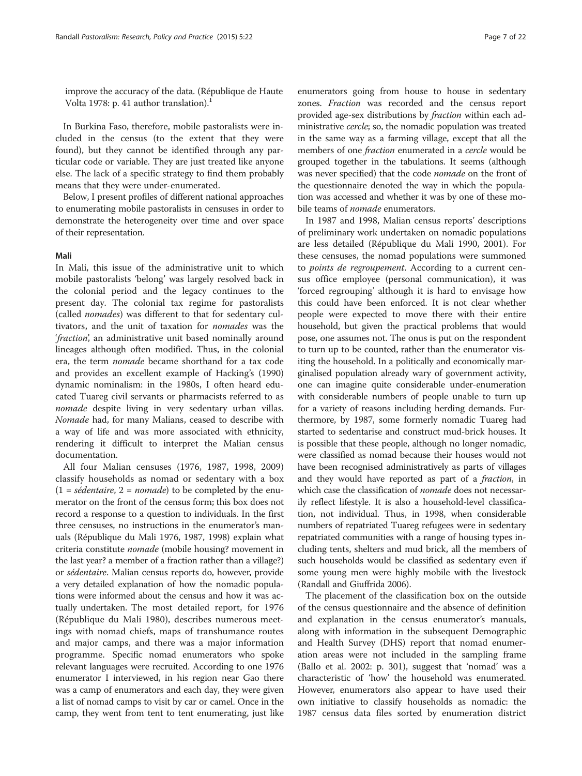improve the accuracy of the data. (République de Haute Volta [1978](#page-20-0): p. 41 author translation).<sup>1</sup>

In Burkina Faso, therefore, mobile pastoralists were included in the census (to the extent that they were found), but they cannot be identified through any particular code or variable. They are just treated like anyone else. The lack of a specific strategy to find them probably means that they were under-enumerated.

Below, I present profiles of different national approaches to enumerating mobile pastoralists in censuses in order to demonstrate the heterogeneity over time and over space of their representation.

#### Mali

In Mali, this issue of the administrative unit to which mobile pastoralists 'belong' was largely resolved back in the colonial period and the legacy continues to the present day. The colonial tax regime for pastoralists (called nomades) was different to that for sedentary cultivators, and the unit of taxation for nomades was the 'fraction', an administrative unit based nominally around lineages although often modified. Thus, in the colonial era, the term nomade became shorthand for a tax code and provides an excellent example of Hacking's ([1990](#page-19-0)) dynamic nominalism: in the 1980s, I often heard educated Tuareg civil servants or pharmacists referred to as nomade despite living in very sedentary urban villas. Nomade had, for many Malians, ceased to describe with a way of life and was more associated with ethnicity, rendering it difficult to interpret the Malian census documentation.

All four Malian censuses (1976, 1987, 1998, 2009) classify households as nomad or sedentary with a box  $(1 = sédentaire, 2 = nomade)$  to be completed by the enumerator on the front of the census form; this box does not record a response to a question to individuals. In the first three censuses, no instructions in the enumerator's manuals (République du Mali [1976, 1987](#page-20-0), [1998](#page-20-0)) explain what criteria constitute nomade (mobile housing? movement in the last year? a member of a fraction rather than a village?) or sédentaire. Malian census reports do, however, provide a very detailed explanation of how the nomadic populations were informed about the census and how it was actually undertaken. The most detailed report, for 1976 (République du Mali [1980\)](#page-20-0), describes numerous meetings with nomad chiefs, maps of transhumance routes and major camps, and there was a major information programme. Specific nomad enumerators who spoke relevant languages were recruited. According to one 1976 enumerator I interviewed, in his region near Gao there was a camp of enumerators and each day, they were given a list of nomad camps to visit by car or camel. Once in the camp, they went from tent to tent enumerating, just like

enumerators going from house to house in sedentary zones. Fraction was recorded and the census report provided age-sex distributions by fraction within each administrative cercle; so, the nomadic population was treated in the same way as a farming village, except that all the members of one *fraction* enumerated in a *cercle* would be grouped together in the tabulations. It seems (although was never specified) that the code *nomade* on the front of the questionnaire denoted the way in which the population was accessed and whether it was by one of these mobile teams of *nomade* enumerators.

In 1987 and 1998, Malian census reports' descriptions of preliminary work undertaken on nomadic populations are less detailed (République du Mali [1990, 2001\)](#page-20-0). For these censuses, the nomad populations were summoned to points de regroupement. According to a current census office employee (personal communication), it was 'forced regrouping' although it is hard to envisage how this could have been enforced. It is not clear whether people were expected to move there with their entire household, but given the practical problems that would pose, one assumes not. The onus is put on the respondent to turn up to be counted, rather than the enumerator visiting the household. In a politically and economically marginalised population already wary of government activity, one can imagine quite considerable under-enumeration with considerable numbers of people unable to turn up for a variety of reasons including herding demands. Furthermore, by 1987, some formerly nomadic Tuareg had started to sedentarise and construct mud-brick houses. It is possible that these people, although no longer nomadic, were classified as nomad because their houses would not have been recognised administratively as parts of villages and they would have reported as part of a fraction, in which case the classification of *nomade* does not necessarily reflect lifestyle. It is also a household-level classification, not individual. Thus, in 1998, when considerable numbers of repatriated Tuareg refugees were in sedentary repatriated communities with a range of housing types including tents, shelters and mud brick, all the members of such households would be classified as sedentary even if some young men were highly mobile with the livestock (Randall and Giuffrida [2006\)](#page-20-0).

The placement of the classification box on the outside of the census questionnaire and the absence of definition and explanation in the census enumerator's manuals, along with information in the subsequent Demographic and Health Survey (DHS) report that nomad enumeration areas were not included in the sampling frame (Ballo et al. [2002:](#page-20-0) p. 301), suggest that 'nomad' was a characteristic of 'how' the household was enumerated. However, enumerators also appear to have used their own initiative to classify households as nomadic: the 1987 census data files sorted by enumeration district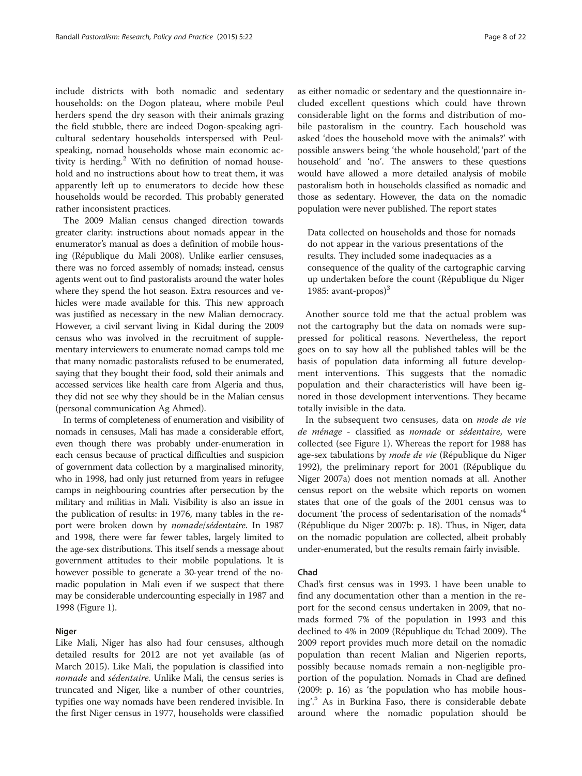include districts with both nomadic and sedentary households: on the Dogon plateau, where mobile Peul herders spend the dry season with their animals grazing the field stubble, there are indeed Dogon-speaking agricultural sedentary households interspersed with Peulspeaking, nomad households whose main economic activity is herding.<sup>2</sup> With no definition of nomad household and no instructions about how to treat them, it was apparently left up to enumerators to decide how these households would be recorded. This probably generated rather inconsistent practices.

The 2009 Malian census changed direction towards greater clarity: instructions about nomads appear in the enumerator's manual as does a definition of mobile housing (République du Mali [2008](#page-20-0)). Unlike earlier censuses, there was no forced assembly of nomads; instead, census agents went out to find pastoralists around the water holes where they spend the hot season. Extra resources and vehicles were made available for this. This new approach was justified as necessary in the new Malian democracy. However, a civil servant living in Kidal during the 2009 census who was involved in the recruitment of supplementary interviewers to enumerate nomad camps told me that many nomadic pastoralists refused to be enumerated, saying that they bought their food, sold their animals and accessed services like health care from Algeria and thus, they did not see why they should be in the Malian census (personal communication Ag Ahmed).

In terms of completeness of enumeration and visibility of nomads in censuses, Mali has made a considerable effort, even though there was probably under-enumeration in each census because of practical difficulties and suspicion of government data collection by a marginalised minority, who in 1998, had only just returned from years in refugee camps in neighbouring countries after persecution by the military and militias in Mali. Visibility is also an issue in the publication of results: in 1976, many tables in the report were broken down by nomade/sédentaire. In 1987 and 1998, there were far fewer tables, largely limited to the age-sex distributions. This itself sends a message about government attitudes to their mobile populations. It is however possible to generate a 30-year trend of the nomadic population in Mali even if we suspect that there may be considerable undercounting especially in 1987 and 1998 (Figure [1](#page-5-0)).

# Niger

Like Mali, Niger has also had four censuses, although detailed results for 2012 are not yet available (as of March 2015). Like Mali, the population is classified into nomade and sédentaire. Unlike Mali, the census series is truncated and Niger, like a number of other countries, typifies one way nomads have been rendered invisible. In the first Niger census in 1977, households were classified as either nomadic or sedentary and the questionnaire included excellent questions which could have thrown considerable light on the forms and distribution of mobile pastoralism in the country. Each household was asked 'does the household move with the animals?' with possible answers being 'the whole household', 'part of the household' and 'no'. The answers to these questions would have allowed a more detailed analysis of mobile pastoralism both in households classified as nomadic and those as sedentary. However, the data on the nomadic population were never published. The report states

Data collected on households and those for nomads do not appear in the various presentations of the results. They included some inadequacies as a consequence of the quality of the cartographic carving up undertaken before the count (République du Niger [1985](#page-21-0): avant-propos $)^3$ 

Another source told me that the actual problem was not the cartography but the data on nomads were suppressed for political reasons. Nevertheless, the report goes on to say how all the published tables will be the basis of population data informing all future development interventions. This suggests that the nomadic population and their characteristics will have been ignored in those development interventions. They became totally invisible in the data.

In the subsequent two censuses, data on mode de vie de ménage - classified as nomade or sédentaire, were collected (see Figure [1](#page-5-0)). Whereas the report for 1988 has age-sex tabulations by mode de vie [\(République du Niger](#page-21-0) [1992](#page-21-0)), the preliminary report for 2001 [\(République du](#page-21-0) [Niger 2007a\)](#page-21-0) does not mention nomads at all. Another census report on the website which reports on women states that one of the goals of the 2001 census was to document 'the process of sedentarisation of the nomads<sup>14</sup> ([République du Niger 2007b](#page-21-0): p. 18). Thus, in Niger, data on the nomadic population are collected, albeit probably under-enumerated, but the results remain fairly invisible.

# Chad

Chad's first census was in 1993. I have been unable to find any documentation other than a mention in the report for the second census undertaken in 2009, that nomads formed 7% of the population in 1993 and this declined to 4% in 2009 (République du Tchad [2009](#page-20-0)). The 2009 report provides much more detail on the nomadic population than recent Malian and Nigerien reports, possibly because nomads remain a non-negligible proportion of the population. Nomads in Chad are defined (2009: p. 16) as 'the population who has mobile housing'. <sup>5</sup> As in Burkina Faso, there is considerable debate around where the nomadic population should be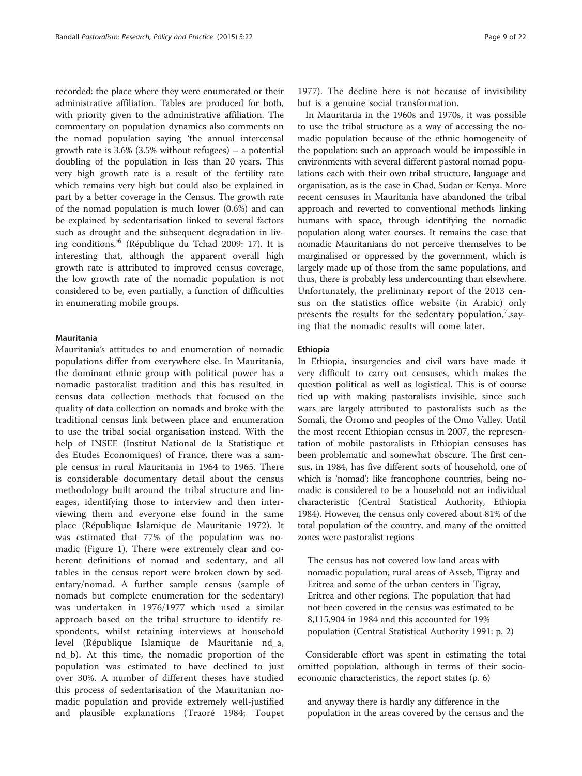recorded: the place where they were enumerated or their administrative affiliation. Tables are produced for both, with priority given to the administrative affiliation. The commentary on population dynamics also comments on the nomad population saying 'the annual intercensal growth rate is 3.6% (3.5% without refugees) – a potential doubling of the population in less than 20 years. This very high growth rate is a result of the fertility rate which remains very high but could also be explained in part by a better coverage in the Census. The growth rate of the nomad population is much lower (0.6%) and can be explained by sedentarisation linked to several factors such as drought and the subsequent degradation in living conditions.' <sup>6</sup> (République du Tchad [2009:](#page-20-0) 17). It is interesting that, although the apparent overall high growth rate is attributed to improved census coverage, the low growth rate of the nomadic population is not considered to be, even partially, a function of difficulties in enumerating mobile groups.

# Mauritania

Mauritania's attitudes to and enumeration of nomadic populations differ from everywhere else. In Mauritania, the dominant ethnic group with political power has a nomadic pastoralist tradition and this has resulted in census data collection methods that focused on the quality of data collection on nomads and broke with the traditional census link between place and enumeration to use the tribal social organisation instead. With the help of INSEE (Institut National de la Statistique et des Etudes Economiques) of France, there was a sample census in rural Mauritania in 1964 to 1965. There is considerable documentary detail about the census methodology built around the tribal structure and lineages, identifying those to interview and then interviewing them and everyone else found in the same place (République Islamique de Mauritanie [1972\)](#page-20-0). It was estimated that 77% of the population was nomadic (Figure [1](#page-5-0)). There were extremely clear and coherent definitions of nomad and sedentary, and all tables in the census report were broken down by sedentary/nomad. A further sample census (sample of nomads but complete enumeration for the sedentary) was undertaken in 1976/1977 which used a similar approach based on the tribal structure to identify respondents, whilst retaining interviews at household level (République Islamique de Mauritanie [nd\\_a](#page-20-0), [nd\\_b](#page-20-0)). At this time, the nomadic proportion of the population was estimated to have declined to just over 30%. A number of different theses have studied this process of sedentarisation of the Mauritanian nomadic population and provide extremely well-justified and plausible explanations (Traoré [1984](#page-20-0); Toupet

[1977\)](#page-20-0). The decline here is not because of invisibility but is a genuine social transformation.

In Mauritania in the 1960s and 1970s, it was possible to use the tribal structure as a way of accessing the nomadic population because of the ethnic homogeneity of the population: such an approach would be impossible in environments with several different pastoral nomad populations each with their own tribal structure, language and organisation, as is the case in Chad, Sudan or Kenya. More recent censuses in Mauritania have abandoned the tribal approach and reverted to conventional methods linking humans with space, through identifying the nomadic population along water courses. It remains the case that nomadic Mauritanians do not perceive themselves to be marginalised or oppressed by the government, which is largely made up of those from the same populations, and thus, there is probably less undercounting than elsewhere. Unfortunately, the preliminary report of the 2013 census on the statistics office website (in Arabic) only presents the results for the sedentary population,<sup>7</sup>,saying that the nomadic results will come later.

#### **Ethiopia**

In Ethiopia, insurgencies and civil wars have made it very difficult to carry out censuses, which makes the question political as well as logistical. This is of course tied up with making pastoralists invisible, since such wars are largely attributed to pastoralists such as the Somali, the Oromo and peoples of the Omo Valley. Until the most recent Ethiopian census in 2007, the representation of mobile pastoralists in Ethiopian censuses has been problematic and somewhat obscure. The first census, in 1984, has five different sorts of household, one of which is 'nomad'; like francophone countries, being nomadic is considered to be a household not an individual characteristic (Central Statistical Authority, Ethiopia [1984](#page-20-0)). However, the census only covered about 81% of the total population of the country, and many of the omitted zones were pastoralist regions

The census has not covered low land areas with nomadic population; rural areas of Asseb, Tigray and Eritrea and some of the urban centers in Tigray, Eritrea and other regions. The population that had not been covered in the census was estimated to be 8,115,904 in 1984 and this accounted for 19% population (Central Statistical Authority [1991](#page-20-0): p. 2)

Considerable effort was spent in estimating the total omitted population, although in terms of their socioeconomic characteristics, the report states (p. 6)

and anyway there is hardly any difference in the population in the areas covered by the census and the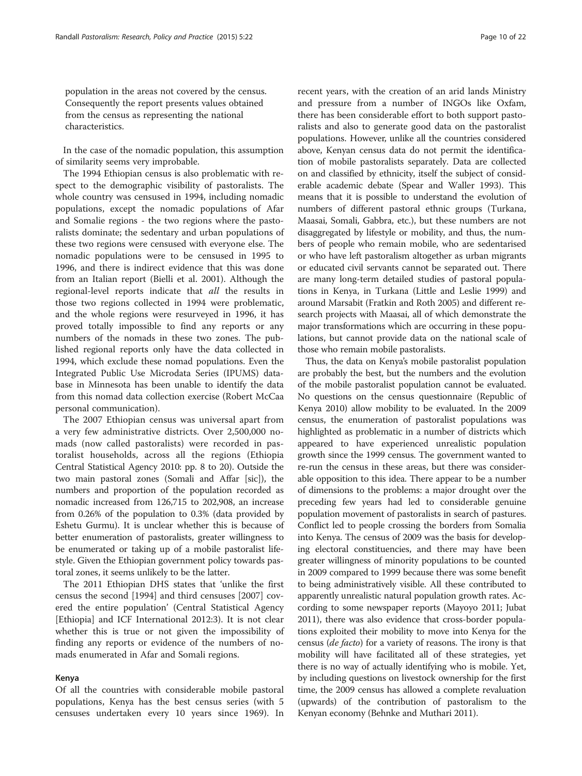population in the areas not covered by the census. Consequently the report presents values obtained from the census as representing the national characteristics.

In the case of the nomadic population, this assumption of similarity seems very improbable.

The 1994 Ethiopian census is also problematic with respect to the demographic visibility of pastoralists. The whole country was censused in 1994, including nomadic populations, except the nomadic populations of Afar and Somalie regions - the two regions where the pastoralists dominate; the sedentary and urban populations of these two regions were censused with everyone else. The nomadic populations were to be censused in 1995 to 1996, and there is indirect evidence that this was done from an Italian report (Bielli et al. [2001\)](#page-19-0). Although the regional-level reports indicate that all the results in those two regions collected in 1994 were problematic, and the whole regions were resurveyed in 1996, it has proved totally impossible to find any reports or any numbers of the nomads in these two zones. The published regional reports only have the data collected in 1994, which exclude these nomad populations. Even the Integrated Public Use Microdata Series (IPUMS) database in Minnesota has been unable to identify the data from this nomad data collection exercise (Robert McCaa personal communication).

The 2007 Ethiopian census was universal apart from a very few administrative districts. Over 2,500,000 nomads (now called pastoralists) were recorded in pastoralist households, across all the regions (Ethiopia Central Statistical Agency [2010:](#page-20-0) pp. 8 to 20). Outside the two main pastoral zones (Somali and Affar [sic]), the numbers and proportion of the population recorded as nomadic increased from 126,715 to 202,908, an increase from 0.26% of the population to 0.3% (data provided by Eshetu Gurmu). It is unclear whether this is because of better enumeration of pastoralists, greater willingness to be enumerated or taking up of a mobile pastoralist lifestyle. Given the Ethiopian government policy towards pastoral zones, it seems unlikely to be the latter.

The 2011 Ethiopian DHS states that 'unlike the first census the second [1994] and third censuses [2007] covered the entire population' (Central Statistical Agency [Ethiopia] and ICF International [2012:](#page-20-0)3). It is not clear whether this is true or not given the impossibility of finding any reports or evidence of the numbers of nomads enumerated in Afar and Somali regions.

# Kenya

Of all the countries with considerable mobile pastoral populations, Kenya has the best census series (with 5 censuses undertaken every 10 years since 1969). In

recent years, with the creation of an arid lands Ministry and pressure from a number of INGOs like Oxfam, there has been considerable effort to both support pastoralists and also to generate good data on the pastoralist populations. However, unlike all the countries considered above, Kenyan census data do not permit the identification of mobile pastoralists separately. Data are collected on and classified by ethnicity, itself the subject of considerable academic debate (Spear and Waller [1993](#page-20-0)). This means that it is possible to understand the evolution of numbers of different pastoral ethnic groups (Turkana, Maasai, Somali, Gabbra, etc.), but these numbers are not disaggregated by lifestyle or mobility, and thus, the numbers of people who remain mobile, who are sedentarised or who have left pastoralism altogether as urban migrants or educated civil servants cannot be separated out. There are many long-term detailed studies of pastoral populations in Kenya, in Turkana (Little and Leslie [1999](#page-20-0)) and around Marsabit (Fratkin and Roth [2005](#page-19-0)) and different research projects with Maasai, all of which demonstrate the major transformations which are occurring in these populations, but cannot provide data on the national scale of those who remain mobile pastoralists.

Thus, the data on Kenya's mobile pastoralist population are probably the best, but the numbers and the evolution of the mobile pastoralist population cannot be evaluated. No questions on the census questionnaire (Republic of Kenya [2010\)](#page-20-0) allow mobility to be evaluated. In the 2009 census, the enumeration of pastoralist populations was highlighted as problematic in a number of districts which appeared to have experienced unrealistic population growth since the 1999 census. The government wanted to re-run the census in these areas, but there was considerable opposition to this idea. There appear to be a number of dimensions to the problems: a major drought over the preceding few years had led to considerable genuine population movement of pastoralists in search of pastures. Conflict led to people crossing the borders from Somalia into Kenya. The census of 2009 was the basis for developing electoral constituencies, and there may have been greater willingness of minority populations to be counted in 2009 compared to 1999 because there was some benefit to being administratively visible. All these contributed to apparently unrealistic natural population growth rates. According to some newspaper reports (Mayoyo [2011](#page-20-0); Jubat [2011](#page-20-0)), there was also evidence that cross-border populations exploited their mobility to move into Kenya for the census (de facto) for a variety of reasons. The irony is that mobility will have facilitated all of these strategies, yet there is no way of actually identifying who is mobile. Yet, by including questions on livestock ownership for the first time, the 2009 census has allowed a complete revaluation (upwards) of the contribution of pastoralism to the Kenyan economy (Behnke and Muthari [2011](#page-19-0)).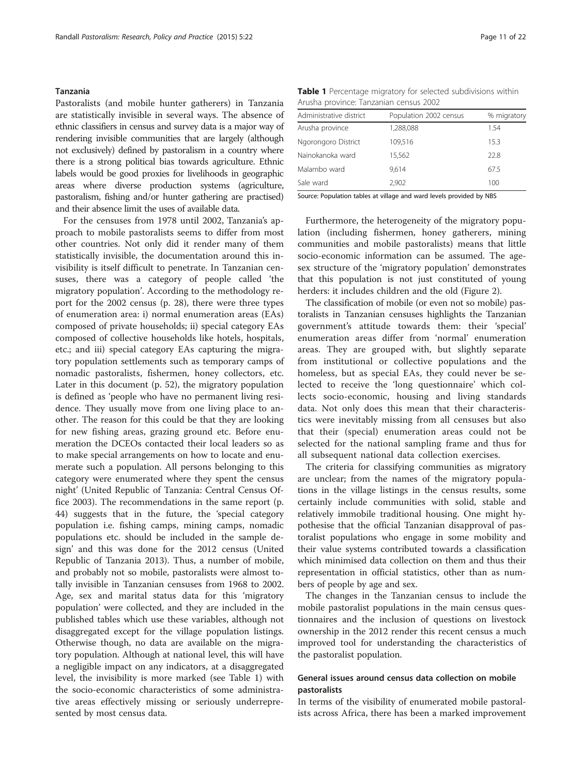#### Tanzania

Pastoralists (and mobile hunter gatherers) in Tanzania are statistically invisible in several ways. The absence of ethnic classifiers in census and survey data is a major way of rendering invisible communities that are largely (although not exclusively) defined by pastoralism in a country where there is a strong political bias towards agriculture. Ethnic labels would be good proxies for livelihoods in geographic areas where diverse production systems (agriculture, pastoralism, fishing and/or hunter gathering are practised) and their absence limit the uses of available data.

For the censuses from 1978 until 2002, Tanzania's approach to mobile pastoralists seems to differ from most other countries. Not only did it render many of them statistically invisible, the documentation around this invisibility is itself difficult to penetrate. In Tanzanian censuses, there was a category of people called 'the migratory population'. According to the methodology report for the 2002 census (p. 28), there were three types of enumeration area: i) normal enumeration areas (EAs) composed of private households; ii) special category EAs composed of collective households like hotels, hospitals, etc.; and iii) special category EAs capturing the migratory population settlements such as temporary camps of nomadic pastoralists, fishermen, honey collectors, etc. Later in this document (p. 52), the migratory population is defined as 'people who have no permanent living residence. They usually move from one living place to another. The reason for this could be that they are looking for new fishing areas, grazing ground etc. Before enumeration the DCEOs contacted their local leaders so as to make special arrangements on how to locate and enumerate such a population. All persons belonging to this category were enumerated where they spent the census night' (United Republic of Tanzania: Central Census Office [2003\)](#page-21-0). The recommendations in the same report (p. 44) suggests that in the future, the 'special category population i.e. fishing camps, mining camps, nomadic populations etc. should be included in the sample design' and this was done for the 2012 census (United Republic of Tanzania [2013](#page-21-0)). Thus, a number of mobile, and probably not so mobile, pastoralists were almost totally invisible in Tanzanian censuses from 1968 to 2002. Age, sex and marital status data for this 'migratory population' were collected, and they are included in the published tables which use these variables, although not disaggregated except for the village population listings. Otherwise though, no data are available on the migratory population. Although at national level, this will have a negligible impact on any indicators, at a disaggregated level, the invisibility is more marked (see Table 1) with the socio-economic characteristics of some administrative areas effectively missing or seriously underrepresented by most census data.

Table 1 Percentage migratory for selected subdivisions within Arusha province: Tanzanian census 2002

| Administrative district | Population 2002 census | % migratory |
|-------------------------|------------------------|-------------|
| Arusha province         | 1,288,088              | 1.54        |
| Ngorongoro District     | 109,516                | 15.3        |
| Nainokanoka ward        | 15,562                 | 22.8        |
| Malambo ward            | 9.614                  | 67.5        |
| Sale ward               | 2,902                  | 100         |

Source: Population tables at village and ward levels provided by NBS

Furthermore, the heterogeneity of the migratory population (including fishermen, honey gatherers, mining communities and mobile pastoralists) means that little socio-economic information can be assumed. The agesex structure of the 'migratory population' demonstrates that this population is not just constituted of young herders: it includes children and the old (Figure [2\)](#page-11-0).

The classification of mobile (or even not so mobile) pastoralists in Tanzanian censuses highlights the Tanzanian government's attitude towards them: their 'special' enumeration areas differ from 'normal' enumeration areas. They are grouped with, but slightly separate from institutional or collective populations and the homeless, but as special EAs, they could never be selected to receive the 'long questionnaire' which collects socio-economic, housing and living standards data. Not only does this mean that their characteristics were inevitably missing from all censuses but also that their (special) enumeration areas could not be selected for the national sampling frame and thus for all subsequent national data collection exercises.

The criteria for classifying communities as migratory are unclear; from the names of the migratory populations in the village listings in the census results, some certainly include communities with solid, stable and relatively immobile traditional housing. One might hypothesise that the official Tanzanian disapproval of pastoralist populations who engage in some mobility and their value systems contributed towards a classification which minimised data collection on them and thus their representation in official statistics, other than as numbers of people by age and sex.

The changes in the Tanzanian census to include the mobile pastoralist populations in the main census questionnaires and the inclusion of questions on livestock ownership in the 2012 render this recent census a much improved tool for understanding the characteristics of the pastoralist population.

# General issues around census data collection on mobile pastoralists

In terms of the visibility of enumerated mobile pastoralists across Africa, there has been a marked improvement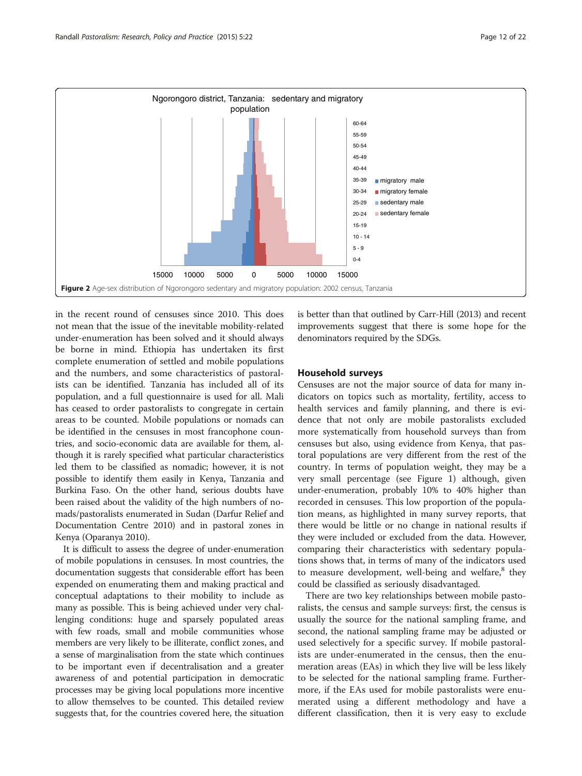<span id="page-11-0"></span>

in the recent round of censuses since 2010. This does not mean that the issue of the inevitable mobility-related under-enumeration has been solved and it should always be borne in mind. Ethiopia has undertaken its first complete enumeration of settled and mobile populations and the numbers, and some characteristics of pastoralists can be identified. Tanzania has included all of its population, and a full questionnaire is used for all. Mali has ceased to order pastoralists to congregate in certain areas to be counted. Mobile populations or nomads can be identified in the censuses in most francophone countries, and socio-economic data are available for them, although it is rarely specified what particular characteristics led them to be classified as nomadic; however, it is not possible to identify them easily in Kenya, Tanzania and Burkina Faso. On the other hand, serious doubts have been raised about the validity of the high numbers of nomads/pastoralists enumerated in Sudan (Darfur Relief and Documentation Centre [2010](#page-19-0)) and in pastoral zones in Kenya (Oparanya [2010\)](#page-20-0).

It is difficult to assess the degree of under-enumeration of mobile populations in censuses. In most countries, the documentation suggests that considerable effort has been expended on enumerating them and making practical and conceptual adaptations to their mobility to include as many as possible. This is being achieved under very challenging conditions: huge and sparsely populated areas with few roads, small and mobile communities whose members are very likely to be illiterate, conflict zones, and a sense of marginalisation from the state which continues to be important even if decentralisation and a greater awareness of and potential participation in democratic processes may be giving local populations more incentive to allow themselves to be counted. This detailed review suggests that, for the countries covered here, the situation is better than that outlined by Carr-Hill [\(2013\)](#page-19-0) and recent improvements suggest that there is some hope for the denominators required by the SDGs.

# Household surveys

Censuses are not the major source of data for many indicators on topics such as mortality, fertility, access to health services and family planning, and there is evidence that not only are mobile pastoralists excluded more systematically from household surveys than from censuses but also, using evidence from Kenya, that pastoral populations are very different from the rest of the country. In terms of population weight, they may be a very small percentage (see Figure [1\)](#page-5-0) although, given under-enumeration, probably 10% to 40% higher than recorded in censuses. This low proportion of the population means, as highlighted in many survey reports, that there would be little or no change in national results if they were included or excluded from the data. However, comparing their characteristics with sedentary populations shows that, in terms of many of the indicators used to measure development, well-being and welfare,<sup>8</sup> they could be classified as seriously disadvantaged.

There are two key relationships between mobile pastoralists, the census and sample surveys: first, the census is usually the source for the national sampling frame, and second, the national sampling frame may be adjusted or used selectively for a specific survey. If mobile pastoralists are under-enumerated in the census, then the enumeration areas (EAs) in which they live will be less likely to be selected for the national sampling frame. Furthermore, if the EAs used for mobile pastoralists were enumerated using a different methodology and have a different classification, then it is very easy to exclude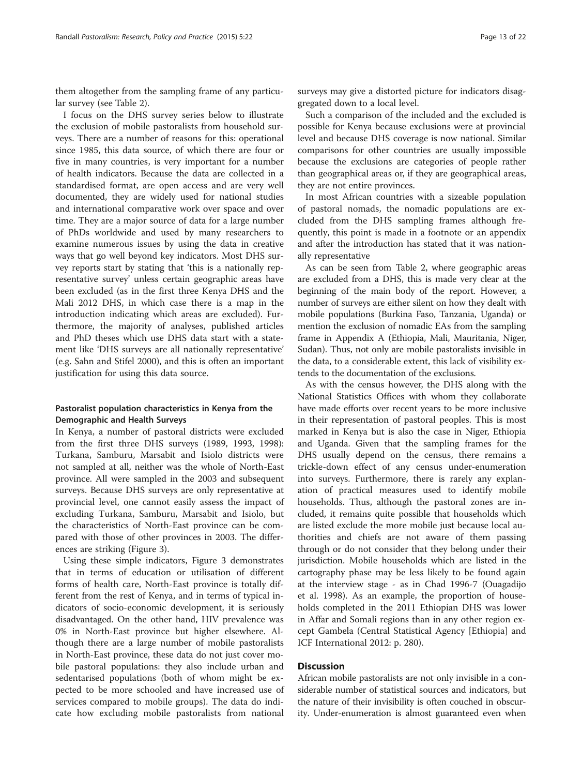them altogether from the sampling frame of any particular survey (see Table [2\)](#page-13-0).

I focus on the DHS survey series below to illustrate the exclusion of mobile pastoralists from household surveys. There are a number of reasons for this: operational since 1985, this data source, of which there are four or five in many countries, is very important for a number of health indicators. Because the data are collected in a standardised format, are open access and are very well documented, they are widely used for national studies and international comparative work over space and over time. They are a major source of data for a large number of PhDs worldwide and used by many researchers to examine numerous issues by using the data in creative ways that go well beyond key indicators. Most DHS survey reports start by stating that 'this is a nationally representative survey' unless certain geographic areas have been excluded (as in the first three Kenya DHS and the Mali 2012 DHS, in which case there is a map in the introduction indicating which areas are excluded). Furthermore, the majority of analyses, published articles and PhD theses which use DHS data start with a statement like 'DHS surveys are all nationally representative' (e.g. Sahn and Stifel [2000](#page-20-0)), and this is often an important justification for using this data source.

# Pastoralist population characteristics in Kenya from the Demographic and Health Surveys

In Kenya, a number of pastoral districts were excluded from the first three DHS surveys (1989, 1993, 1998): Turkana, Samburu, Marsabit and Isiolo districts were not sampled at all, neither was the whole of North-East province. All were sampled in the 2003 and subsequent surveys. Because DHS surveys are only representative at provincial level, one cannot easily assess the impact of excluding Turkana, Samburu, Marsabit and Isiolo, but the characteristics of North-East province can be compared with those of other provinces in 2003. The differences are striking (Figure [3\)](#page-14-0).

Using these simple indicators, Figure [3](#page-14-0) demonstrates that in terms of education or utilisation of different forms of health care, North-East province is totally different from the rest of Kenya, and in terms of typical indicators of socio-economic development, it is seriously disadvantaged. On the other hand, HIV prevalence was 0% in North-East province but higher elsewhere. Although there are a large number of mobile pastoralists in North-East province, these data do not just cover mobile pastoral populations: they also include urban and sedentarised populations (both of whom might be expected to be more schooled and have increased use of services compared to mobile groups). The data do indicate how excluding mobile pastoralists from national

surveys may give a distorted picture for indicators disaggregated down to a local level.

Such a comparison of the included and the excluded is possible for Kenya because exclusions were at provincial level and because DHS coverage is now national. Similar comparisons for other countries are usually impossible because the exclusions are categories of people rather than geographical areas or, if they are geographical areas, they are not entire provinces.

In most African countries with a sizeable population of pastoral nomads, the nomadic populations are excluded from the DHS sampling frames although frequently, this point is made in a footnote or an appendix and after the introduction has stated that it was nationally representative

As can be seen from Table [2,](#page-13-0) where geographic areas are excluded from a DHS, this is made very clear at the beginning of the main body of the report. However, a number of surveys are either silent on how they dealt with mobile populations (Burkina Faso, Tanzania, Uganda) or mention the exclusion of nomadic EAs from the sampling frame in Appendix A (Ethiopia, Mali, Mauritania, Niger, Sudan). Thus, not only are mobile pastoralists invisible in the data, to a considerable extent, this lack of visibility extends to the documentation of the exclusions.

As with the census however, the DHS along with the National Statistics Offices with whom they collaborate have made efforts over recent years to be more inclusive in their representation of pastoral peoples. This is most marked in Kenya but is also the case in Niger, Ethiopia and Uganda. Given that the sampling frames for the DHS usually depend on the census, there remains a trickle-down effect of any census under-enumeration into surveys. Furthermore, there is rarely any explanation of practical measures used to identify mobile households. Thus, although the pastoral zones are included, it remains quite possible that households which are listed exclude the more mobile just because local authorities and chiefs are not aware of them passing through or do not consider that they belong under their jurisdiction. Mobile households which are listed in the cartography phase may be less likely to be found again at the interview stage - as in Chad 1996-7 (Ouagadijo et al. [1998](#page-20-0)). As an example, the proportion of households completed in the 2011 Ethiopian DHS was lower in Affar and Somali regions than in any other region except Gambela (Central Statistical Agency [Ethiopia] and ICF International [2012](#page-20-0): p. 280).

# **Discussion**

African mobile pastoralists are not only invisible in a considerable number of statistical sources and indicators, but the nature of their invisibility is often couched in obscurity. Under-enumeration is almost guaranteed even when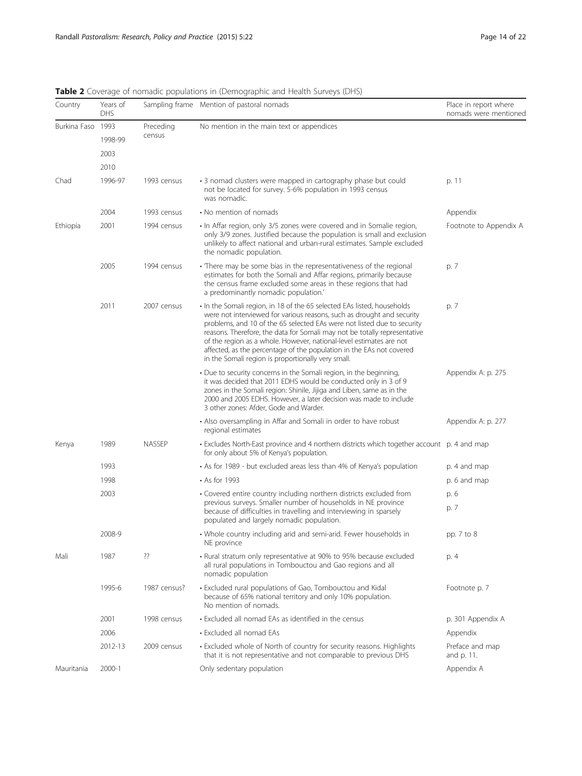| Country      | Years of<br><b>DHS</b>          |                     | Sampling frame Mention of pastoral nomads                                                                                                                                                                                                                                                                                                                                                                                                                                                                      | Place in report where<br>nomads were mentioned |
|--------------|---------------------------------|---------------------|----------------------------------------------------------------------------------------------------------------------------------------------------------------------------------------------------------------------------------------------------------------------------------------------------------------------------------------------------------------------------------------------------------------------------------------------------------------------------------------------------------------|------------------------------------------------|
| Burkina Faso | 1993<br>1998-99<br>2003<br>2010 | Preceding<br>census | No mention in the main text or appendices                                                                                                                                                                                                                                                                                                                                                                                                                                                                      |                                                |
| Chad         | 1996-97                         | 1993 census         | • 3 nomad clusters were mapped in cartography phase but could<br>not be located for survey. 5-6% population in 1993 census<br>was nomadic.                                                                                                                                                                                                                                                                                                                                                                     | p. 11                                          |
|              | 2004                            | 1993 census         | • No mention of nomads                                                                                                                                                                                                                                                                                                                                                                                                                                                                                         | Appendix                                       |
| Ethiopia     | 2001                            | 1994 census         | · In Affar region, only 3/5 zones were covered and in Somalie region,<br>only 3/9 zones. Justified because the population is small and exclusion<br>unlikely to affect national and urban-rural estimates. Sample excluded<br>the nomadic population.                                                                                                                                                                                                                                                          | Footnote to Appendix A                         |
|              | 2005                            | 1994 census         | • There may be some bias in the representativeness of the regional<br>estimates for both the Somali and Affar regions, primarily because<br>the census frame excluded some areas in these regions that had<br>a predominantly nomadic population.'                                                                                                                                                                                                                                                             | p. 7                                           |
|              | 2011                            | 2007 census         | · In the Somali region, in 18 of the 65 selected EAs listed, households<br>were not interviewed for various reasons, such as drought and security<br>problems, and 10 of the 65 selected EAs were not listed due to security<br>reasons. Therefore, the data for Somali may not be totally representative<br>of the region as a whole. However, national-level estimates are not<br>affected, as the percentage of the population in the EAs not covered<br>in the Somali region is proportionally very small. | p. 7                                           |
|              |                                 |                     | • Due to security concerns in the Somali region, in the beginning,<br>it was decided that 2011 EDHS would be conducted only in 3 of 9<br>zones in the Somali region: Shinile, Jijiga and Liben, same as in the<br>2000 and 2005 EDHS. However, a later decision was made to include<br>3 other zones: Afder, Gode and Warder.                                                                                                                                                                                  | Appendix A: p. 275                             |
|              |                                 |                     | • Also oversampling in Affar and Somali in order to have robust<br>regional estimates                                                                                                                                                                                                                                                                                                                                                                                                                          | Appendix A: p. 277                             |
| Kenya        | 1989                            | <b>NASSEP</b>       | • Excludes North-East province and 4 northern districts which together account p. 4 and map<br>for only about 5% of Kenya's population.                                                                                                                                                                                                                                                                                                                                                                        |                                                |
|              | 1993                            |                     | • As for 1989 - but excluded areas less than 4% of Kenya's population                                                                                                                                                                                                                                                                                                                                                                                                                                          | p. 4 and map                                   |
|              | 1998                            |                     | • As for 1993                                                                                                                                                                                                                                                                                                                                                                                                                                                                                                  | p. 6 and map                                   |
|              | 2003                            |                     | • Covered entire country including northern districts excluded from<br>previous surveys. Smaller number of households in NE province<br>because of difficulties in travelling and interviewing in sparsely<br>populated and largely nomadic population.                                                                                                                                                                                                                                                        | p. 6                                           |
|              |                                 |                     |                                                                                                                                                                                                                                                                                                                                                                                                                                                                                                                | p. 7                                           |
|              | 2008-9                          |                     | • Whole country including arid and semi-arid. Fewer households in<br>NE province                                                                                                                                                                                                                                                                                                                                                                                                                               | pp. 7 to 8                                     |
| Mali         | 1987                            | ??                  | · Rural stratum only representative at 90% to 95% because excluded<br>all rural populations in Tombouctou and Gao regions and all<br>nomadic population                                                                                                                                                                                                                                                                                                                                                        | p. 4                                           |
|              | 1995-6                          | 1987 census?        | • Excluded rural populations of Gao, Tombouctou and Kidal<br>because of 65% national territory and only 10% population.<br>No mention of nomads.                                                                                                                                                                                                                                                                                                                                                               | Footnote p. 7                                  |
|              | 2001                            | 1998 census         | • Excluded all nomad EAs as identified in the census                                                                                                                                                                                                                                                                                                                                                                                                                                                           | p. 301 Appendix A                              |
|              | 2006                            |                     | • Excluded all nomad EAs                                                                                                                                                                                                                                                                                                                                                                                                                                                                                       | Appendix                                       |
|              | 2012-13                         | 2009 census         | • Excluded whole of North of country for security reasons. Highlights<br>that it is not representative and not comparable to previous DHS                                                                                                                                                                                                                                                                                                                                                                      | Preface and map<br>and p. 11.                  |
| Mauritania   | 2000-1                          |                     | Only sedentary population                                                                                                                                                                                                                                                                                                                                                                                                                                                                                      | Appendix A                                     |

<span id="page-13-0"></span>Table 2 Coverage of nomadic populations in (Demographic and Health Surveys (DHS)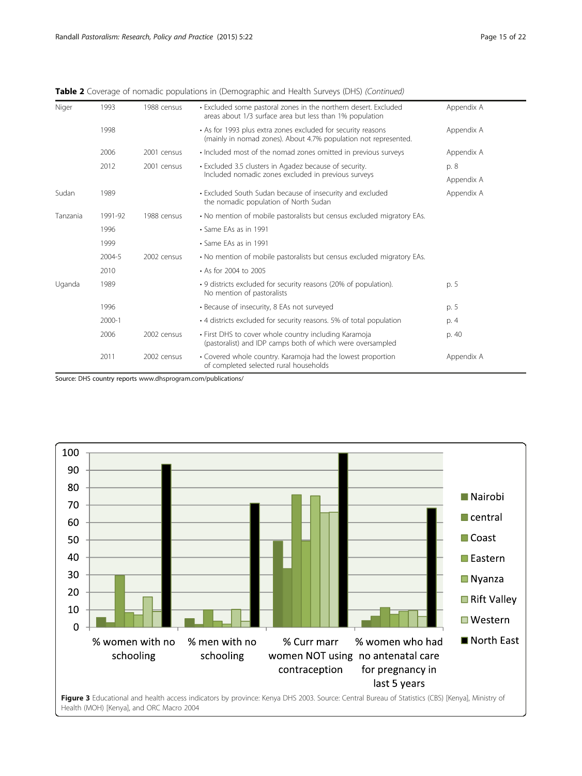| Niger    | 1993       | 1988 census | • Excluded some pastoral zones in the northern desert. Excluded<br>areas about 1/3 surface area but less than 1% population     | Appendix A |
|----------|------------|-------------|---------------------------------------------------------------------------------------------------------------------------------|------------|
|          | 1998       |             | • As for 1993 plus extra zones excluded for security reasons<br>(mainly in nomad zones). About 4.7% population not represented. | Appendix A |
|          | 2006       | 2001 census | • Included most of the nomad zones omitted in previous surveys                                                                  | Appendix A |
|          | 2012       | 2001 census | • Excluded 3.5 clusters in Agadez because of security.<br>Included nomadic zones excluded in previous surveys                   | p. 8       |
|          |            |             |                                                                                                                                 | Appendix A |
| Sudan    | 1989       |             | • Excluded South Sudan because of insecurity and excluded<br>the nomadic population of North Sudan                              | Appendix A |
| Tanzania | 1991-92    | 1988 census | . No mention of mobile pastoralists but census excluded migratory EAs.                                                          |            |
|          | 1996       |             | • Same FAs as in 1991                                                                                                           |            |
|          | 1999       |             | • Same FAs as in 1991                                                                                                           |            |
|          | 2004-5     | 2002 census | . No mention of mobile pastoralists but census excluded migratory EAs.                                                          |            |
|          | 2010       |             | • As for 2004 to 2005                                                                                                           |            |
| Uganda   | 1989       |             | • 9 districts excluded for security reasons (20% of population).<br>No mention of pastoralists                                  | p. 5       |
|          | 1996       |             | • Because of insecurity, 8 EAs not surveyed                                                                                     | p. 5       |
|          | $2000 - 1$ |             | • 4 districts excluded for security reasons. 5% of total population                                                             | p. 4       |
|          | 2006       | 2002 census | • First DHS to cover whole country including Karamoja<br>(pastoralist) and IDP camps both of which were oversampled             | p. 40      |
|          | 2011       | 2002 census | • Covered whole country. Karamoja had the lowest proportion<br>of completed selected rural households                           | Appendix A |

<span id="page-14-0"></span>Table 2 Coverage of nomadic populations in (Demographic and Health Surveys (DHS) (Continued)

Source: [DHS](#page-19-0) country reports [www.dhsprogram.com/publications/](http://www.dhsprogram.com/publications/)

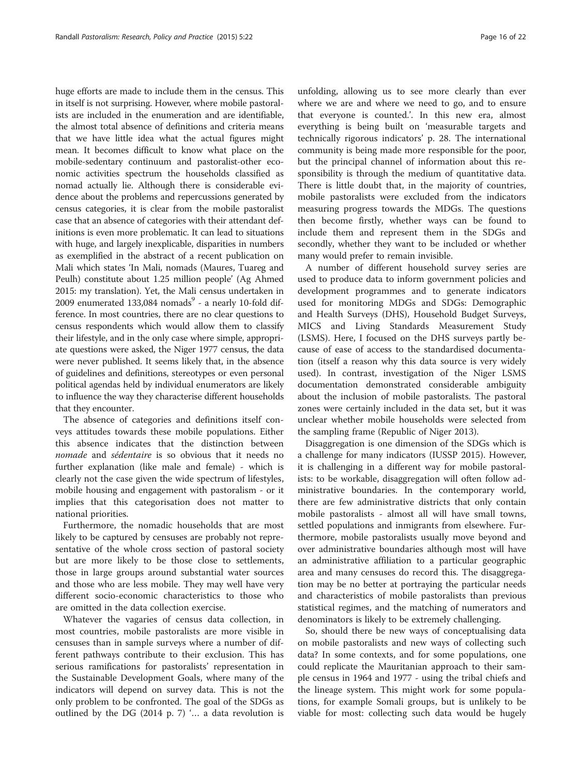huge efforts are made to include them in the census. This in itself is not surprising. However, where mobile pastoralists are included in the enumeration and are identifiable, the almost total absence of definitions and criteria means that we have little idea what the actual figures might mean. It becomes difficult to know what place on the mobile-sedentary continuum and pastoralist-other economic activities spectrum the households classified as nomad actually lie. Although there is considerable evidence about the problems and repercussions generated by census categories, it is clear from the mobile pastoralist case that an absence of categories with their attendant definitions is even more problematic. It can lead to situations with huge, and largely inexplicable, disparities in numbers as exemplified in the abstract of a recent publication on Mali which states 'In Mali, nomads (Maures, Tuareg and Peulh) constitute about 1.25 million people' (Ag Ahmed [2015:](#page-19-0) my translation). Yet, the Mali census undertaken in 2009 enumerated  $133,084$  nomads<sup>9</sup> - a nearly 10-fold difference. In most countries, there are no clear questions to census respondents which would allow them to classify their lifestyle, and in the only case where simple, appropriate questions were asked, the Niger 1977 census, the data were never published. It seems likely that, in the absence of guidelines and definitions, stereotypes or even personal political agendas held by individual enumerators are likely to influence the way they characterise different households that they encounter.

The absence of categories and definitions itself conveys attitudes towards these mobile populations. Either this absence indicates that the distinction between nomade and sédentaire is so obvious that it needs no further explanation (like male and female) - which is clearly not the case given the wide spectrum of lifestyles, mobile housing and engagement with pastoralism - or it implies that this categorisation does not matter to national priorities.

Furthermore, the nomadic households that are most likely to be captured by censuses are probably not representative of the whole cross section of pastoral society but are more likely to be those close to settlements, those in large groups around substantial water sources and those who are less mobile. They may well have very different socio-economic characteristics to those who are omitted in the data collection exercise.

Whatever the vagaries of census data collection, in most countries, mobile pastoralists are more visible in censuses than in sample surveys where a number of different pathways contribute to their exclusion. This has serious ramifications for pastoralists' representation in the Sustainable Development Goals, where many of the indicators will depend on survey data. This is not the only problem to be confronted. The goal of the SDGs as outlined by the DG (2014 p. 7) '… a data revolution is unfolding, allowing us to see more clearly than ever where we are and where we need to go, and to ensure that everyone is counted.'. In this new era, almost everything is being built on 'measurable targets and technically rigorous indicators' p. 28. The international community is being made more responsible for the poor, but the principal channel of information about this responsibility is through the medium of quantitative data. There is little doubt that, in the majority of countries, mobile pastoralists were excluded from the indicators measuring progress towards the MDGs. The questions then become firstly, whether ways can be found to include them and represent them in the SDGs and secondly, whether they want to be included or whether many would prefer to remain invisible.

A number of different household survey series are used to produce data to inform government policies and development programmes and to generate indicators used for monitoring MDGs and SDGs: Demographic and Health Surveys (DHS), Household Budget Surveys, MICS and Living Standards Measurement Study (LSMS). Here, I focused on the DHS surveys partly because of ease of access to the standardised documentation (itself a reason why this data source is very widely used). In contrast, investigation of the Niger LSMS documentation demonstrated considerable ambiguity about the inclusion of mobile pastoralists. The pastoral zones were certainly included in the data set, but it was unclear whether mobile households were selected from the sampling frame [\(Republic of Niger 2013\)](#page-21-0).

Disaggregation is one dimension of the SDGs which is a challenge for many indicators (IUSSP [2015\)](#page-20-0). However, it is challenging in a different way for mobile pastoralists: to be workable, disaggregation will often follow administrative boundaries. In the contemporary world, there are few administrative districts that only contain mobile pastoralists - almost all will have small towns, settled populations and inmigrants from elsewhere. Furthermore, mobile pastoralists usually move beyond and over administrative boundaries although most will have an administrative affiliation to a particular geographic area and many censuses do record this. The disaggregation may be no better at portraying the particular needs and characteristics of mobile pastoralists than previous statistical regimes, and the matching of numerators and denominators is likely to be extremely challenging.

So, should there be new ways of conceptualising data on mobile pastoralists and new ways of collecting such data? In some contexts, and for some populations, one could replicate the Mauritanian approach to their sample census in 1964 and 1977 - using the tribal chiefs and the lineage system. This might work for some populations, for example Somali groups, but is unlikely to be viable for most: collecting such data would be hugely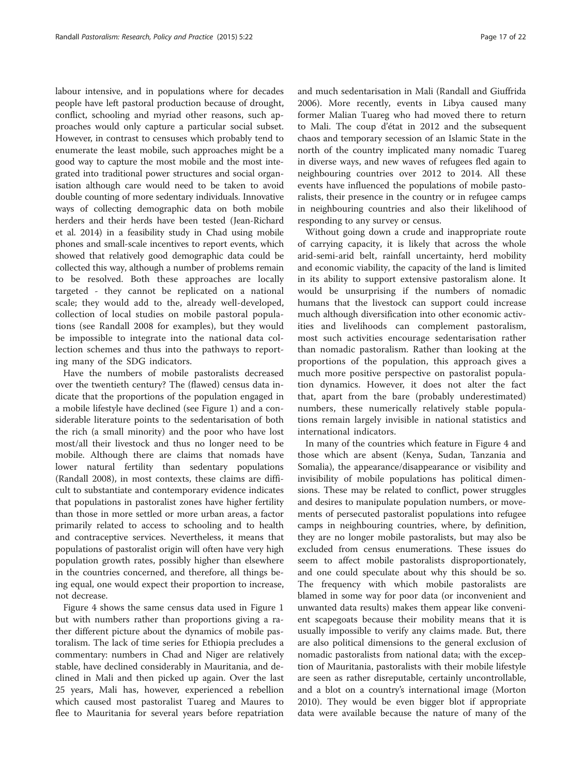labour intensive, and in populations where for decades people have left pastoral production because of drought, conflict, schooling and myriad other reasons, such approaches would only capture a particular social subset. However, in contrast to censuses which probably tend to enumerate the least mobile, such approaches might be a good way to capture the most mobile and the most integrated into traditional power structures and social organisation although care would need to be taken to avoid double counting of more sedentary individuals. Innovative ways of collecting demographic data on both mobile herders and their herds have been tested (Jean-Richard et al. [2014](#page-20-0)) in a feasibility study in Chad using mobile phones and small-scale incentives to report events, which showed that relatively good demographic data could be collected this way, although a number of problems remain to be resolved. Both these approaches are locally targeted - they cannot be replicated on a national scale; they would add to the, already well-developed, collection of local studies on mobile pastoral populations (see Randall [2008](#page-20-0) for examples), but they would be impossible to integrate into the national data collection schemes and thus into the pathways to reporting many of the SDG indicators.

Have the numbers of mobile pastoralists decreased over the twentieth century? The (flawed) census data indicate that the proportions of the population engaged in a mobile lifestyle have declined (see Figure [1](#page-5-0)) and a considerable literature points to the sedentarisation of both the rich (a small minority) and the poor who have lost most/all their livestock and thus no longer need to be mobile. Although there are claims that nomads have lower natural fertility than sedentary populations (Randall [2008](#page-20-0)), in most contexts, these claims are difficult to substantiate and contemporary evidence indicates that populations in pastoralist zones have higher fertility than those in more settled or more urban areas, a factor primarily related to access to schooling and to health and contraceptive services. Nevertheless, it means that populations of pastoralist origin will often have very high population growth rates, possibly higher than elsewhere in the countries concerned, and therefore, all things being equal, one would expect their proportion to increase, not decrease.

Figure [4](#page-17-0) shows the same census data used in Figure [1](#page-5-0) but with numbers rather than proportions giving a rather different picture about the dynamics of mobile pastoralism. The lack of time series for Ethiopia precludes a commentary: numbers in Chad and Niger are relatively stable, have declined considerably in Mauritania, and declined in Mali and then picked up again. Over the last 25 years, Mali has, however, experienced a rebellion which caused most pastoralist Tuareg and Maures to flee to Mauritania for several years before repatriation

and much sedentarisation in Mali (Randall and Giuffrida [2006](#page-20-0)). More recently, events in Libya caused many former Malian Tuareg who had moved there to return to Mali. The coup d'état in 2012 and the subsequent chaos and temporary secession of an Islamic State in the north of the country implicated many nomadic Tuareg in diverse ways, and new waves of refugees fled again to neighbouring countries over 2012 to 2014. All these events have influenced the populations of mobile pastoralists, their presence in the country or in refugee camps in neighbouring countries and also their likelihood of responding to any survey or census.

Without going down a crude and inappropriate route of carrying capacity, it is likely that across the whole arid-semi-arid belt, rainfall uncertainty, herd mobility and economic viability, the capacity of the land is limited in its ability to support extensive pastoralism alone. It would be unsurprising if the numbers of nomadic humans that the livestock can support could increase much although diversification into other economic activities and livelihoods can complement pastoralism, most such activities encourage sedentarisation rather than nomadic pastoralism. Rather than looking at the proportions of the population, this approach gives a much more positive perspective on pastoralist population dynamics. However, it does not alter the fact that, apart from the bare (probably underestimated) numbers, these numerically relatively stable populations remain largely invisible in national statistics and international indicators.

In many of the countries which feature in Figure [4](#page-17-0) and those which are absent (Kenya, Sudan, Tanzania and Somalia), the appearance/disappearance or visibility and invisibility of mobile populations has political dimensions. These may be related to conflict, power struggles and desires to manipulate population numbers, or movements of persecuted pastoralist populations into refugee camps in neighbouring countries, where, by definition, they are no longer mobile pastoralists, but may also be excluded from census enumerations. These issues do seem to affect mobile pastoralists disproportionately, and one could speculate about why this should be so. The frequency with which mobile pastoralists are blamed in some way for poor data (or inconvenient and unwanted data results) makes them appear like convenient scapegoats because their mobility means that it is usually impossible to verify any claims made. But, there are also political dimensions to the general exclusion of nomadic pastoralists from national data; with the exception of Mauritania, pastoralists with their mobile lifestyle are seen as rather disreputable, certainly uncontrollable, and a blot on a country's international image (Morton [2010](#page-20-0)). They would be even bigger blot if appropriate data were available because the nature of many of the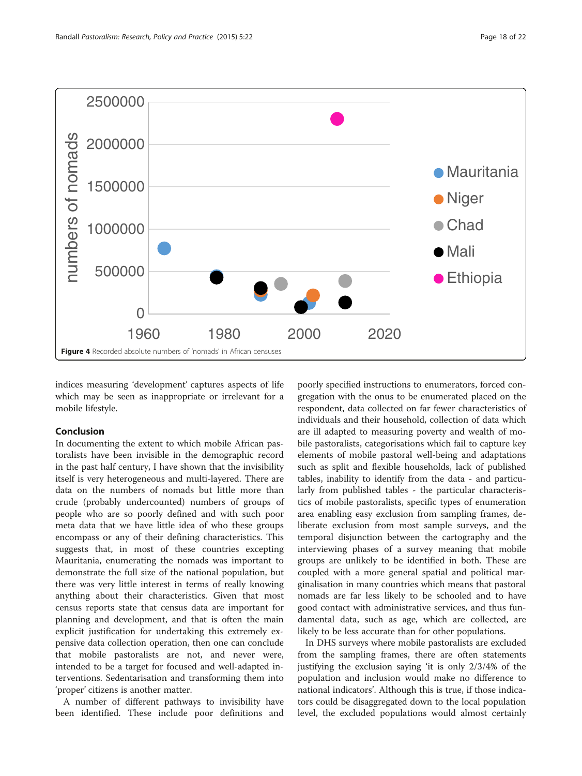<span id="page-17-0"></span>

indices measuring 'development' captures aspects of life which may be seen as inappropriate or irrelevant for a mobile lifestyle.

# Conclusion

In documenting the extent to which mobile African pastoralists have been invisible in the demographic record in the past half century, I have shown that the invisibility itself is very heterogeneous and multi-layered. There are data on the numbers of nomads but little more than crude (probably undercounted) numbers of groups of people who are so poorly defined and with such poor meta data that we have little idea of who these groups encompass or any of their defining characteristics. This suggests that, in most of these countries excepting Mauritania, enumerating the nomads was important to demonstrate the full size of the national population, but there was very little interest in terms of really knowing anything about their characteristics. Given that most census reports state that census data are important for planning and development, and that is often the main explicit justification for undertaking this extremely expensive data collection operation, then one can conclude that mobile pastoralists are not, and never were, intended to be a target for focused and well-adapted interventions. Sedentarisation and transforming them into 'proper' citizens is another matter.

A number of different pathways to invisibility have been identified. These include poor definitions and

poorly specified instructions to enumerators, forced congregation with the onus to be enumerated placed on the respondent, data collected on far fewer characteristics of individuals and their household, collection of data which are ill adapted to measuring poverty and wealth of mobile pastoralists, categorisations which fail to capture key elements of mobile pastoral well-being and adaptations such as split and flexible households, lack of published tables, inability to identify from the data - and particularly from published tables - the particular characteristics of mobile pastoralists, specific types of enumeration area enabling easy exclusion from sampling frames, deliberate exclusion from most sample surveys, and the temporal disjunction between the cartography and the interviewing phases of a survey meaning that mobile groups are unlikely to be identified in both. These are coupled with a more general spatial and political marginalisation in many countries which means that pastoral nomads are far less likely to be schooled and to have good contact with administrative services, and thus fundamental data, such as age, which are collected, are likely to be less accurate than for other populations.

In DHS surveys where mobile pastoralists are excluded from the sampling frames, there are often statements justifying the exclusion saying 'it is only 2/3/4% of the population and inclusion would make no difference to national indicators'. Although this is true, if those indicators could be disaggregated down to the local population level, the excluded populations would almost certainly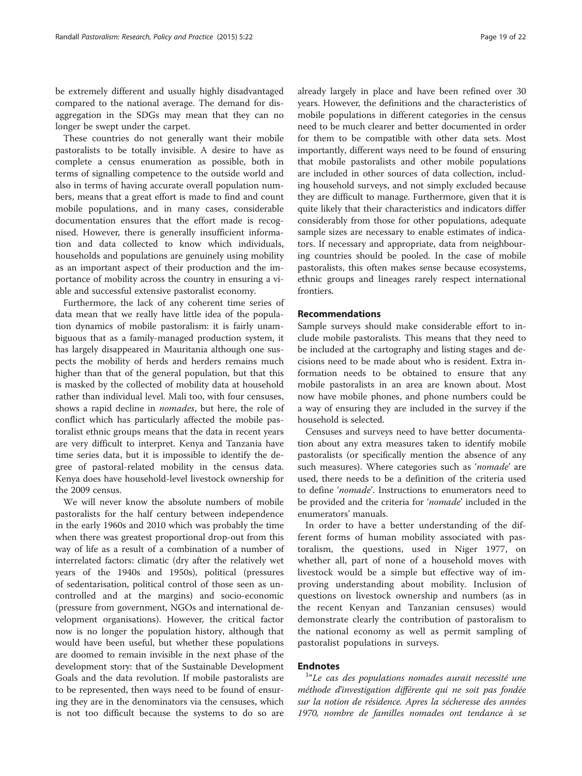be extremely different and usually highly disadvantaged compared to the national average. The demand for disaggregation in the SDGs may mean that they can no longer be swept under the carpet.

These countries do not generally want their mobile pastoralists to be totally invisible. A desire to have as complete a census enumeration as possible, both in terms of signalling competence to the outside world and also in terms of having accurate overall population numbers, means that a great effort is made to find and count mobile populations, and in many cases, considerable documentation ensures that the effort made is recognised. However, there is generally insufficient information and data collected to know which individuals, households and populations are genuinely using mobility as an important aspect of their production and the importance of mobility across the country in ensuring a viable and successful extensive pastoralist economy.

Furthermore, the lack of any coherent time series of data mean that we really have little idea of the population dynamics of mobile pastoralism: it is fairly unambiguous that as a family-managed production system, it has largely disappeared in Mauritania although one suspects the mobility of herds and herders remains much higher than that of the general population, but that this is masked by the collected of mobility data at household rather than individual level. Mali too, with four censuses, shows a rapid decline in nomades, but here, the role of conflict which has particularly affected the mobile pastoralist ethnic groups means that the data in recent years are very difficult to interpret. Kenya and Tanzania have time series data, but it is impossible to identify the degree of pastoral-related mobility in the census data. Kenya does have household-level livestock ownership for the 2009 census.

We will never know the absolute numbers of mobile pastoralists for the half century between independence in the early 1960s and 2010 which was probably the time when there was greatest proportional drop-out from this way of life as a result of a combination of a number of interrelated factors: climatic (dry after the relatively wet years of the 1940s and 1950s), political (pressures of sedentarisation, political control of those seen as uncontrolled and at the margins) and socio-economic (pressure from government, NGOs and international development organisations). However, the critical factor now is no longer the population history, although that would have been useful, but whether these populations are doomed to remain invisible in the next phase of the development story: that of the Sustainable Development Goals and the data revolution. If mobile pastoralists are to be represented, then ways need to be found of ensuring they are in the denominators via the censuses, which is not too difficult because the systems to do so are

already largely in place and have been refined over 30 years. However, the definitions and the characteristics of mobile populations in different categories in the census need to be much clearer and better documented in order for them to be compatible with other data sets. Most importantly, different ways need to be found of ensuring that mobile pastoralists and other mobile populations are included in other sources of data collection, including household surveys, and not simply excluded because they are difficult to manage. Furthermore, given that it is quite likely that their characteristics and indicators differ considerably from those for other populations, adequate sample sizes are necessary to enable estimates of indicators. If necessary and appropriate, data from neighbouring countries should be pooled. In the case of mobile pastoralists, this often makes sense because ecosystems, ethnic groups and lineages rarely respect international frontiers.

# Recommendations

Sample surveys should make considerable effort to include mobile pastoralists. This means that they need to be included at the cartography and listing stages and decisions need to be made about who is resident. Extra information needs to be obtained to ensure that any mobile pastoralists in an area are known about. Most now have mobile phones, and phone numbers could be a way of ensuring they are included in the survey if the household is selected.

Censuses and surveys need to have better documentation about any extra measures taken to identify mobile pastoralists (or specifically mention the absence of any such measures). Where categories such as 'nomade' are used, there needs to be a definition of the criteria used to define 'nomade'. Instructions to enumerators need to be provided and the criteria for 'nomade' included in the enumerators' manuals.

In order to have a better understanding of the different forms of human mobility associated with pastoralism, the questions, used in Niger 1977, on whether all, part of none of a household moves with livestock would be a simple but effective way of improving understanding about mobility. Inclusion of questions on livestock ownership and numbers (as in the recent Kenyan and Tanzanian censuses) would demonstrate clearly the contribution of pastoralism to the national economy as well as permit sampling of pastoralist populations in surveys.

# **Endnotes**

<sup>1</sup>"Le cas des populations nomades aurait necessité une méthode d'investigation différente qui ne soit pas fondée sur la notion de résidence. Apres la sécheresse des années 1970, nombre de familles nomades ont tendance à se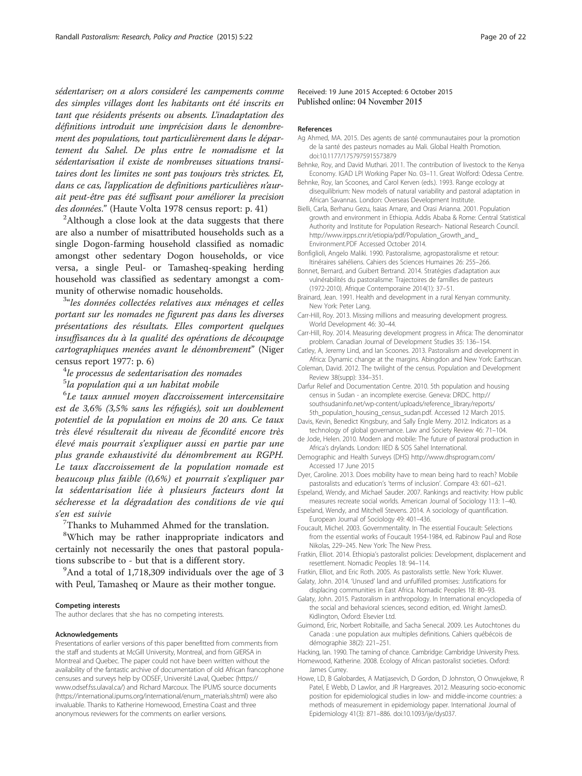<span id="page-19-0"></span>sédentariser; on a alors consideré les campements comme des simples villages dont les habitants ont été inscrits en tant que résidents présents ou absents. L'inadaptation des définitions introduit une imprécision dans le denombrement des populations, tout particulièrement dans le département du Sahel. De plus entre le nomadisme et la sédentarisation il existe de nombreuses situations transitaires dont les limites ne sont pas toujours très strictes. Et, dans ce cas, l'application de definitions particulières n'aurait peut-être pas été suffisant pour améliorer la precision des données." (Haute Volta [1978](#page-20-0) census report: p. 41)

<sup>2</sup>Although a close look at the data suggests that there are also a number of misattributed households such as a single Dogon-farming household classified as nomadic amongst other sedentary Dogon households, or vice versa, a single Peul- or Tamasheq-speaking herding household was classified as sedentary amongst a community of otherwise nomadic households. <sup>3</sup>

<sup>3"</sup>les données collectées relatives aux ménages et celles portant sur les nomades ne figurent pas dans les diverses présentations des résultats. Elles comportent quelques insuffisances du à la qualité des opérations de découpage cartographiques menées avant le dénombrement" (Niger census report 1977: p. 6) <sup>4</sup>

 $4$ le processus de sedentarisation des nomades

 $^5$ la population qui a un habitat mobile

6 Le taux annuel moyen d'accroissement intercensitaire est de 3,6% (3,5% sans les réfugiés), soit un doublement potentiel de la population en moins de 20 ans. Ce taux très élevé résulterait du niveau de fécondité encore très élevé mais pourrait s'expliquer aussi en partie par une plus grande exhaustivité du dénombrement au RGPH. Le taux d'accroissement de la population nomade est beaucoup plus faible (0,6%) et pourrait s'expliquer par la sédentarisation liée à plusieurs facteurs dont la sécheresse et la dégradation des conditions de vie qui s'en est suivie

<sup>7</sup>Thanks to Muhammed Ahmed for the translation.

<sup>8</sup>Which may be rather inappropriate indicators and certainly not necessarily the ones that pastoral populations subscribe to - but that is a different story.

<sup>9</sup>And a total of 1,718,309 individuals over the age of 3 with Peul, Tamasheq or Maure as their mother tongue.

#### Competing interests

The author declares that she has no competing interests.

#### Acknowledgements

Presentations of earlier versions of this paper benefitted from comments from the staff and students at McGill University, Montreal, and from GIERSA in Montreal and Quebec. The paper could not have been written without the availability of the fantastic archive of documentation of old African francophone censuses and surveys help by ODSEF, Université Laval, Quebec [\(https://](https://www.odsef.fss.ulaval.ca/) [www.odsef.fss.ulaval.ca/\)](https://www.odsef.fss.ulaval.ca/) and Richard Marcoux. The IPUMS source documents ([https://international.ipums.org/international/enum\\_materials.shtml](https://international.ipums.org/international/enum_materials.shtml)) were also invaluable. Thanks to Katherine Homewood, Ernestina Coast and three anonymous reviewers for the comments on earlier versions.

Received: 19 June 2015 Accepted: 6 October 2015 Published online: 04 November 2015

#### References

- Ag Ahmed, MA. 2015. Des agents de santé communautaires pour la promotion de la santé des pasteurs nomades au Mali. Global Health Promotion. doi[:10.1177/1757975915573879](http://dx.doi.org/10.1177/1757975915573879)
- Behnke, Roy, and David Muthari. 2011. The contribution of livestock to the Kenya Economy. IGAD LPI Working Paper No. 03–11. Great Wolford: Odessa Centre.
- Behnke, Roy, Ian Scoones, and Carol Kerven (eds.). 1993. Range ecology at disequilibrium: New models of natural variability and pastoral adaptation in African Savannas. London: Overseas Development Institute.

Bielli, Carla, Berhanu Gezu, Isaias Amare, and Orasi Arianna. 2001. Population growth and environment in Ethiopia. Addis Ababa & Rome: Central Statistical Authority and Institute for Population Research- National Research Council. [http://www.irpps.cnr.it/etiopia/pdf/Population\\_Growth\\_and\\_](http://www.irpps.cnr.it/etiopia/pdf/Population_Growth_and_Environment.PDF) [Environment.PDF](http://www.irpps.cnr.it/etiopia/pdf/Population_Growth_and_Environment.PDF) Accessed October 2014.

Bonfiglioli, Angelo Maliki. 1990. Pastoralisme, agropastoralisme et retour: Itinéraires sahéliens. Cahiers des Sciences Humaines 26: 255–266.

Bonnet, Bernard, and Guibert Bertrand. 2014. Stratégies d'adaptation aux vulnérabilités du pastoralisme: Trajectoires de familles de pasteurs (1972-2010). Afrique Contemporaine 2014(1): 37–51.

Brainard, Jean. 1991. Health and development in a rural Kenyan community. New York: Peter Lang.

Carr-Hill, Roy. 2013. Missing millions and measuring development progress. World Development 46: 30–44.

Carr-Hill, Roy. 2014. Measuring development progress in Africa: The denominator problem. Canadian Journal of Development Studies 35: 136–154.

Catley, A, Jeremy Lind, and Ian Scoones. 2013. Pastoralism and development in Africa: Dynamic change at the margins. Abingdon and New York: Earthscan.

Coleman, David. 2012. The twilight of the census. Population and Development Review 38(supp): 334–351.

Darfur Relief and Documentation Centre. 2010. 5th population and housing census in Sudan - an incomplete exercise. Geneva: DRDC. [http://](http://southsudaninfo.net/wp-content/uploads/reference_library/reports/5th_population_housing_census_sudan.pdf) [southsudaninfo.net/wp-content/uploads/reference\\_library/reports/](http://southsudaninfo.net/wp-content/uploads/reference_library/reports/5th_population_housing_census_sudan.pdf) [5th\\_population\\_housing\\_census\\_sudan.pdf.](http://southsudaninfo.net/wp-content/uploads/reference_library/reports/5th_population_housing_census_sudan.pdf) Accessed 12 March 2015.

Davis, Kevin, Benedict Kingsbury, and Sally Engle Merry. 2012. Indicators as a technology of global governance. Law and Society Review 46: 71–104.

- de Jode, Helen. 2010. Modern and mobile: The future of pastoral production in Africa's drylands. London: IIED & SOS Sahel International.
- Demographic and Health Surveys (DHS)<http://www.dhsprogram.com/> Accessed 17 June 2015
- Dyer, Caroline. 2013. Does mobility have to mean being hard to reach? Mobile pastoralists and education's 'terms of inclusion'. Compare 43: 601–621.

Espeland, Wendy, and Michael Sauder. 2007. Rankings and reactivity: How public measures recreate social worlds. American Journal of Sociology 113: 1–40.

- Espeland, Wendy, and Mitchell Stevens. 2014. A sociology of quantification. European Journal of Sociology 49: 401–436.
- Foucault, Michel. 2003. Governmentality. In The essential Foucault: Selections from the essential works of Foucault 1954-1984, ed. Rabinow Paul and Rose Nikolas, 229–245. New York: The New Press.
- Fratkin, Elliot. 2014. Ethiopia's pastoralist policies: Development, displacement and resettlement. Nomadic Peoples 18: 94–114.
- Fratkin, Elliot, and Eric Roth. 2005. As pastoralists settle. New York: Kluwer. Galaty, John. 2014. 'Unused' land and unfulfilled promises: Justifications for
- displacing communities in East Africa. Nomadic Peoples 18: 80–93. Galaty, John. 2015. Pastoralism in anthropology. In International encyclopedia of
- the social and behavioral sciences, second edition, ed. Wright JamesD. Kidlington, Oxford: Elsevier Ltd.
- Guimond, Eric, Norbert Robitaille, and Sacha Senecal. 2009. Les Autochtones du Canada : une population aux multiples definitions. Cahiers québécois de démographie 38(2): 221–251.

Hacking, Ian. 1990. The taming of chance. Cambridge: Cambridge University Press. Homewood, Katherine. 2008. Ecology of African pastoralist societies. Oxford: James Currey.

Howe, LD, B Galobardes, A Matijasevich, D Gordon, D Johnston, O Onwujekwe, R Patel, E Webb, D Lawlor, and JR Hargreaves. 2012. Measuring socio-economic position for epidemiological studies in low- and middle-income countries: a methods of measurement in epidemiology paper. International Journal of Epidemiology 41(3): 871–886. doi:[10.1093/ije/dys037.](http://dx.doi.org/10.1093/ije/dys037)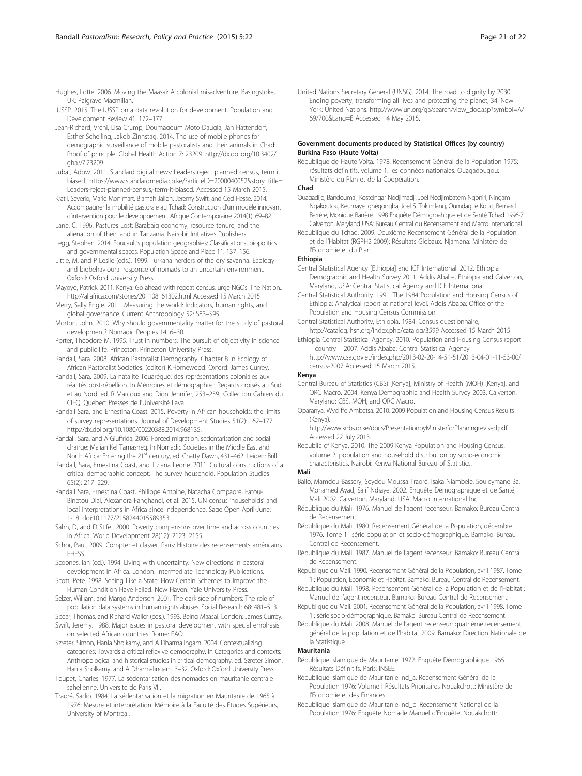- <span id="page-20-0"></span>Hughes, Lotte. 2006. Moving the Maasai: A colonial misadventure. Basingstoke, UK: Palgrave Macmillan.
- IUSSP. 2015. The IUSSP on a data revolution for development. Population and Development Review 41: 172–177.
- Jean-Richard, Vreni, Lisa Crump, Doumagoum Moto Daugla, Jan Hattendorf, Esther Schelling, Jakob Zinnstag. 2014. The use of mobile phones for demographic surveillance of mobile pastoralists and their animals in Chad: Proof of principle. Global Health Action 7: 23209. [http://dx.doi.org/10.3402/](http://dx.doi.org/10.3402/gha.v7.23209) [gha.v7.23209](http://dx.doi.org/10.3402/gha.v7.23209)
- Jubat, Adow. 2011. Standard digital news: Leaders reject planned census, term it biased.. [https://www.standardmedia.co.ke/?articleID=2000040052&story\\_title=](https://www.standardmedia.co.ke/?articleID=2000040052&story_title=Leaders-reject-planned-census,-term-it-biased) [Leaders-reject-planned-census,-term-it-biased.](https://www.standardmedia.co.ke/?articleID=2000040052&story_title=Leaders-reject-planned-census,-term-it-biased) Accessed 15 March 2015.
- Kratli, Severio, Marie Monimart, Blamah Jalloh, Jeremy Swift, and Ced Hesse. 2014. Accompagner la mobilité pastorale au Tchad: Construction d'un modèle innovant d'intervention pour le développement. Afrique Contemporaine 2014(1): 69–82.
- Lane, C. 1996. Pastures Lost: Barabaig economy, resource tenure, and the alienation of their land in Tanzania. Nairobi: Initiatives Publishers.
- Legg, Stephen. 2014. Foucault's population geographies: Classifications, biopolitics and governmental spaces. Population Space and Place 11: 137–156.
- Little, M, and P Leslie (eds.). 1999. Turkana herders of the dry savanna. Ecology and biobehavioural response of nomads to an uncertain environment. Oxford: Oxford University Press.
- Mayoyo, Patrick. 2011. Kenya: Go ahead with repeat census, urge NGOs. The Nation.. <http://allafrica.com/stories/201108161302.html> Accessed 15 March 2015.
- Merry, Sally Engle. 2011. Measuring the world: Indicators, human rights, and global governance. Current Anthropology 52: S83–S95.
- Morton, John. 2010. Why should governmentality matter for the study of pastoral development? Nomadic Peoples 14: 6–30.
- Porter, Theodore M. 1995. Trust in numbers: The pursuit of objectivity in science and public life. Princeton: Princeton University Press.
- Randall, Sara. 2008. African Pastoralist Demography. Chapter 8 in Ecology of African Pastoralist Societies. (editor) K.Homewood. Oxford: James Currey.
- Randall, Sara. 2009. La natalité Touarègue: des représentations coloniales aux réalités post-rébellion. In Mémoires et démographie : Regards croisés au Sud et au Nord, ed. R Marcoux and Dion Jennifer, 253–259.. Collection Cahiers du CIEQ. Quebec: Presses de l'Université Laval.
- Randall Sara, and Ernestina Coast. 2015. Poverty in African households: the limits of survey representations. Journal of Development Studies 51(2): 162–177. <http://dx.doi.org/10.1080/00220388.2014.968135>.
- Randall, Sara, and A Giuffrida. 2006. Forced migration, sedentarisation and social change: Malian Kel Tamasheq. In Nomadic Societies in the Middle East and North Africa: Entering the 21<sup>st</sup> century, ed. Chatty Dawn, 431-462. Leiden: Brill.
- Randall, Sara, Ernestina Coast, and Tiziana Leone. 2011. Cultural constructions of a critical demographic concept: The survey household. Population Studies 65(2): 217–229.
- Randall Sara, Ernestina Coast, Philippe Antoine, Natacha Compaore, Fatou-Binetou Dial, Alexandra Fanghanel, et al. 2015. UN census 'households' and local interpretations in Africa since Independence. Sage Open April-June: 1-18. doi:[10.1177/2158244015589353](http://dx.doi.org/10.1177/2158244015589353)
- Sahn, D, and D Stifel. 2000. Poverty comparisons over time and across countries in Africa. World Development 28(12): 2123–2155.
- Schor, Paul. 2009. Compter et classer. Paris: Histoire des recensements américains EHESS.
- Scoones, Ian (ed.). 1994. Living with uncertainty: New directions in pastoral development in Africa. London: Intermediate Technology Publications.
- Scott, Pete. 1998. Seeing Like a State: How Certain Schemes to Improve the Human Condition Have Failed. New Haven: Yale University Press.
- Selzer, William, and Margo Anderson. 2001. The dark side of numbers: The role of population data systems in human rights abuses. Social Research 68: 481–513.
- Spear, Thomas, and Richard Waller (eds.). 1993. Being Maasai. London: James Currey.
- Swift, Jeremy. 1988. Major issues in pastoral development with special emphasis on selected African countries. Rome: FAO.
- Szreter, Simon, Hania Sholkamy, and A Dharmalingam. 2004. Contextualizing categories: Towards a critical reflexive demography. In Categories and contexts: Anthropological and historical studies in critical demography, ed. Szreter Simon, Hania Sholkamy, and A Dharmalingam, 3–32. Oxford: Oxford University Press.
- Toupet, Charles. 1977. La sédentarisation des nomades en mauritanie centrale sahelienne. Universite de Paris VII.
- Traoré, Sadio. 1984. La sédentarisation et la migration en Mauritanie de 1965 à 1976: Mesure et interprétation. Mémoire à la Faculté des Etudes Supérieurs, University of Montreal.

United Nations Secretary General (UNSG). 2014. The road to dignity by 2030: Ending poverty, transforming all lives and protecting the planet, 34. New York: United Nations. [http://www.un.org/ga/search/view\\_doc.asp?symbol=A/](http://www.un.org/ga/search/view_doc.asp?symbol=A/69/700&Lang=E) [69/700&Lang=E](http://www.un.org/ga/search/view_doc.asp?symbol=A/69/700&Lang=E) Accessed 14 May 2015.

#### Government documents produced by Statistical Offices (by country) Burkina Faso (Haute Volta)

République de Haute Volta. 1978. Recensement Général de la Population 1975: résultats définitifs, volume 1: les données nationales. Ouagadougou: Ministère du Plan et de la Coopération.

#### Chad

- Ouagadijo, Bandoumai, Kosteingar Nodjimadji, Joel Nodjimbatem Ngoniri, Ningam Ngakoutou, Keumaye Ignégongba, Joel S. Tokindang, Oumdague Kouo, Bernard Barrère, Monique Barrère. 1998 Enquête Démogrpahique et de Santé Tchad 1996-7. Calverton, Maryland USA: Bureau Central du Recensement and Macro International
- République du Tchad. 2009. Deuxième Recensement Général de la Population et de l'Habitat (RGPH2 2009): Résultats Globaux. Njamena: Ministère de l'Economie et du Plan.

# Ethiopia

- Central Statistical Agency [Ethiopia] and ICF International. 2012. Ethiopia Demographic and Health Survey 2011. Addis Ababa, Ethiopia and Calverton, Maryland, USA: Central Statistical Agency and ICF International.
- Central Statistical Authority. 1991. The 1984 Population and Housing Census of Ethiopia: Analytical report at national level. Addis Ababa: Office of the Population and Housing Census Commission.
- Central Statistical Authority, Ethiopia. 1984. Census questionnaire, <http://catalog.ihsn.org/index.php/catalog/3599> Accessed 15 March 2015
- Ethiopia Central Statistical Agency. 2010. Population and Housing Census report – country – 2007. Addis Ababa: Central Statistical Agency.
- [http://www.csa.gov.et/index.php/2013-02-20-14-51-51/2013-04-01-11-53-00/](http://www.csa.gov.et/index.php/2013-02-20-14-51-51/2013-04-01-11-53-00/census-2007) [census-2007](http://www.csa.gov.et/index.php/2013-02-20-14-51-51/2013-04-01-11-53-00/census-2007) Accessed 15 March 2015.

# Kenya

- Central Bureau of Statistics (CBS) [Kenya], Ministry of Health (MOH) [Kenya], and ORC Macro. 2004. Kenya Demographic and Health Survey 2003. Calverton, Maryland: CBS, MOH, and ORC Macro.
- Oparanya, Wycliffe Ambetsa. 2010. 2009 Population and Housing Census Results (Kenya).
	- <http://www.knbs.or.ke/docs/PresentationbyMinisterforPlanningrevised.pdf> Accessed 22 July 2013
- Republic of Kenya. 2010. The 2009 Kenya Population and Housing Census, volume 2, population and household distribution by socio-economic characteristics. Nairobi: Kenya National Bureau of Statistics.

#### Mali

- Ballo, Mamdou Bassery, Seydou Moussa Traoré, Isaka Niambele, Souleymane Ba, Mohamed Ayad, Salif Ndiaye. 2002. Enquête Démographique et de Santé, Mali 2002. Calverton, Maryland, USA: Macro International Inc.
- République du Mali. 1976. Manuel de l'agent recenseur. Bamako: Bureau Central de Recensement.
- République du Mali. 1980. Recensement Général de la Population, décembre 1976. Tome 1 : série population et socio-démographique. Bamako: Bureau Central de Recensement.
- République du Mali. 1987. Manuel de l'agent recenseur. Bamako: Bureau Central de Recensement.
- République du Mali. 1990. Recensement Général de la Population, avril 1987. Tome 1 : Population, Economie et Habitat. Bamako: Bureau Central de Recensement.
- République du Mali. 1998. Recensement Général de la Population et de l'Habitat : Manuel de l'agent recenseur. Bamako: Bureau Central de Recensement.
- République du Mali. 2001. Recensement Général de la Population, avril 1998. Tome 1 : série socio-démographique. Bamako: Bureau Central de Recensement.
- République du Mali. 2008. Manuel de l'agent recenseur: quatrième recensement général de la population et de l'habitat 2009. Bamako: Direction Nationale de la Statistique.

#### Mauritania

- République Islamique de Mauritanie. 1972. Enquête Démographique 1965 Résultats Définitifs. Paris: INSEE.
- République Islamique de Mauritanie. nd\_a. Recensement Général de la Population 1976: Volume I Résultats Prioritaires Nouakchott: Ministère de l'Economie et des Finances.
- République Islamique de Mauritanie. nd\_b. Recensement National de la Population 1976: Enquête Nomade Manuel d'Enquête. Nouakchott: